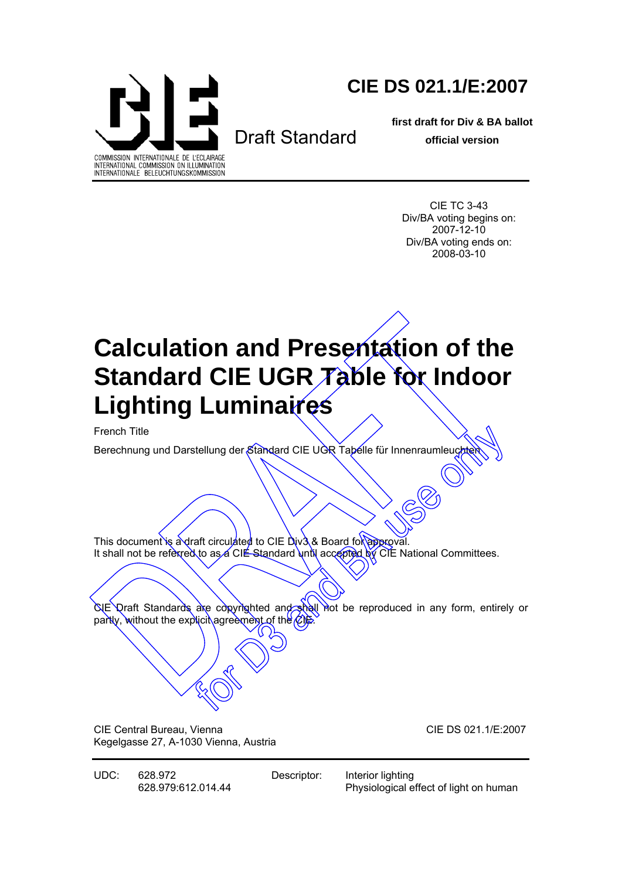

# **CIE DS 021.1/E:2007**

**first draft for Div & BA ballot official version**

CIE TC 3-43 Div/BA voting begins on: 2007-12-10 Div/BA voting ends on: 2008-03-10

# **Calculation and Presentation of the Standard CIE UGR Table for Indoor Lighting Luminaires**

French Title

Berechnung und Darstellung der Standard CIE UGR Tabelle für Innenraumleuchten

This document is a draft circulated to CIE Div3 & Board for approval. It shall not be referred to as a CIE Standard until accepted by CIE National Committees.

CIE Draft Standards are copyrighted and shall not be reproduced in any form, entirely or partly, without the explicit agreement of the  $\hat{\varphi}$ 

CIE Central Bureau, Vienna CIE DS 021.1/E:2007 Kegelgasse 27, A-1030 Vienna, Austria

UDC: 628.972 Descriptor: Interior lighting

628.979:612.014.44 Physiological effect of light on human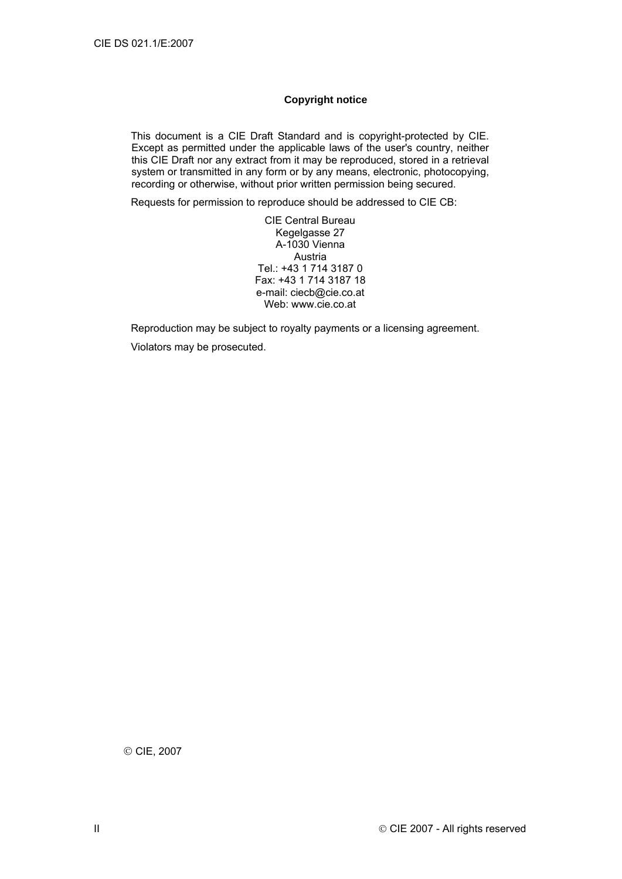#### **Copyright notice**

This document is a CIE Draft Standard and is copyright-protected by CIE. Except as permitted under the applicable laws of the user's country, neither this CIE Draft nor any extract from it may be reproduced, stored in a retrieval system or transmitted in any form or by any means, electronic, photocopying, recording or otherwise, without prior written permission being secured.

Requests for permission to reproduce should be addressed to CIE CB:

CIE Central Bureau Kegelgasse 27 A-1030 Vienna Austria Tel.: +43 1 714 3187 0 Fax: +43 1 714 3187 18 e-mail: ciecb@cie.co.at Web: www.cie.co.at

Reproduction may be subject to royalty payments or a licensing agreement.

Violators may be prosecuted.

© CIE, 2007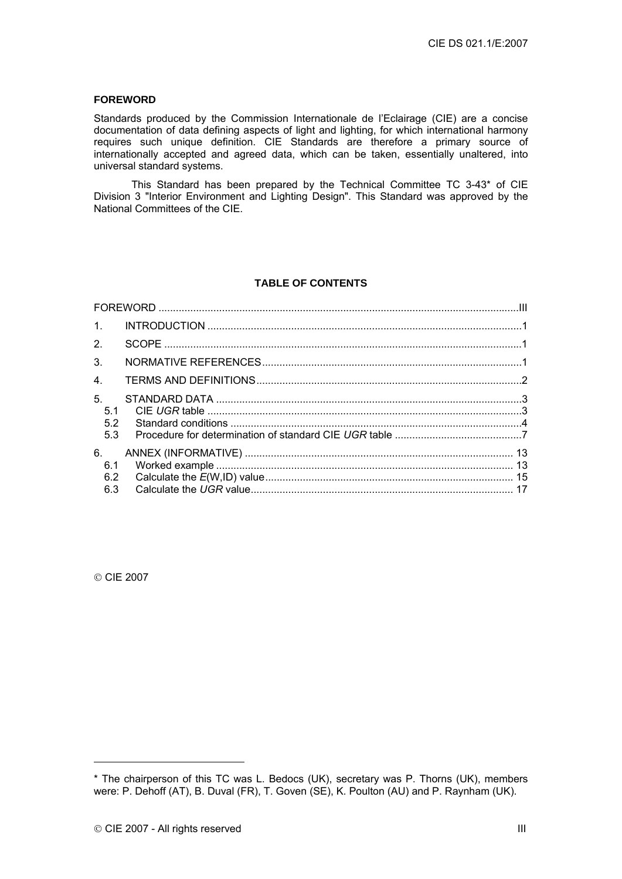#### **FOREWORD**

Standards produced by the Commission Internationale de l'Eclairage (CIE) are a concise documentation of data defining aspects of light and lighting, for which international harmony requires such unique definition. CIE Standards are therefore a primary source of internationally accepted and agreed data, which can be taken, essentially unaltered, into universal standard systems.

This Standard has been prepared by the Technical Committee TC 3-43\* of CIE Division 3 "Interior Environment and Lighting Design". This Standard was approved by the National Committees of the CIE.

#### **TABLE OF CONTENTS**

| 2.                      |  |
|-------------------------|--|
| 3.                      |  |
| 4.                      |  |
| 5.<br>5.1<br>5.2<br>5.3 |  |
| 6.<br>6.1<br>6.2<br>6.3 |  |
|                         |  |

© CIE 2007

l

<sup>\*</sup> The chairperson of this TC was L. Bedocs (UK), secretary was P. Thorns (UK), members were: P. Dehoff (AT), B. Duval (FR), T. Goven (SE), K. Poulton (AU) and P. Raynham (UK).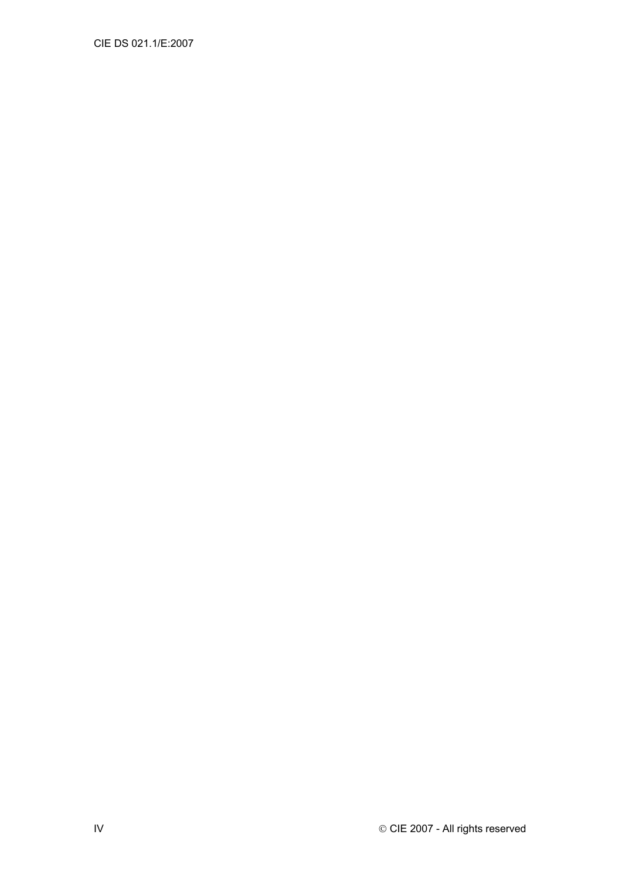CIE DS 021.1/E:2007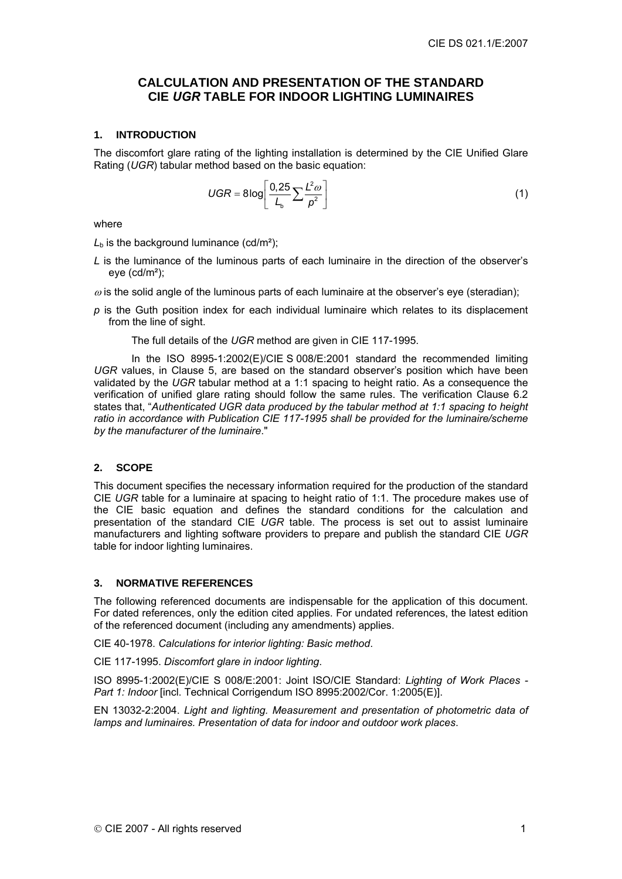#### **CALCULATION AND PRESENTATION OF THE STANDARD CIE** *UGR* **TABLE FOR INDOOR LIGHTING LUMINAIRES**

#### **1. INTRODUCTION**

The discomfort glare rating of the lighting installation is determined by the CIE Unified Glare Rating (*UGR*) tabular method based on the basic equation:

$$
UGR = 8\log\left[\frac{0.25}{L_{\text{b}}} \sum \frac{L^2 \omega}{\rho^2}\right]
$$
 (1)

where

 $L<sub>b</sub>$  is the background luminance (cd/m<sup>2</sup>);

*L* is the luminance of the luminous parts of each luminaire in the direction of the observer's eye (cd/m²);

 $\omega$  is the solid angle of the luminous parts of each luminaire at the observer's eye (steradian);

*p* is the Guth position index for each individual luminaire which relates to its displacement from the line of sight.

The full details of the *UGR* method are given in CIE 117-1995.

In the ISO 8995-1:2002(E)/CIE S 008/E:2001 standard the recommended limiting *UGR* values, in Clause 5, are based on the standard observer's position which have been validated by the *UGR* tabular method at a 1:1 spacing to height ratio. As a consequence the verification of unified glare rating should follow the same rules. The verification Clause 6.2 states that, "*Authenticated UGR data produced by the tabular method at 1:1 spacing to height ratio in accordance with Publication CIE 117-1995 shall be provided for the luminaire/scheme by the manufacturer of the luminaire*."

#### **2. SCOPE**

This document specifies the necessary information required for the production of the standard CIE *UGR* table for a luminaire at spacing to height ratio of 1:1. The procedure makes use of the CIE basic equation and defines the standard conditions for the calculation and presentation of the standard CIE *UGR* table. The process is set out to assist luminaire manufacturers and lighting software providers to prepare and publish the standard CIE *UGR* table for indoor lighting luminaires.

#### **3. NORMATIVE REFERENCES**

The following referenced documents are indispensable for the application of this document. For dated references, only the edition cited applies. For undated references, the latest edition of the referenced document (including any amendments) applies.

CIE 40-1978. *Calculations for interior lighting: Basic method*.

CIE 117-1995. *Discomfort glare in indoor lighting*.

ISO 8995-1:2002(E)/CIE S 008/E:2001: Joint ISO/CIE Standard: *Lighting of Work Places - Part 1: Indoor* [incl. Technical Corrigendum ISO 8995:2002/Cor. 1:2005(E)].

EN 13032-2:2004. *Light and lighting. Measurement and presentation of photometric data of lamps and luminaires. Presentation of data for indoor and outdoor work places*.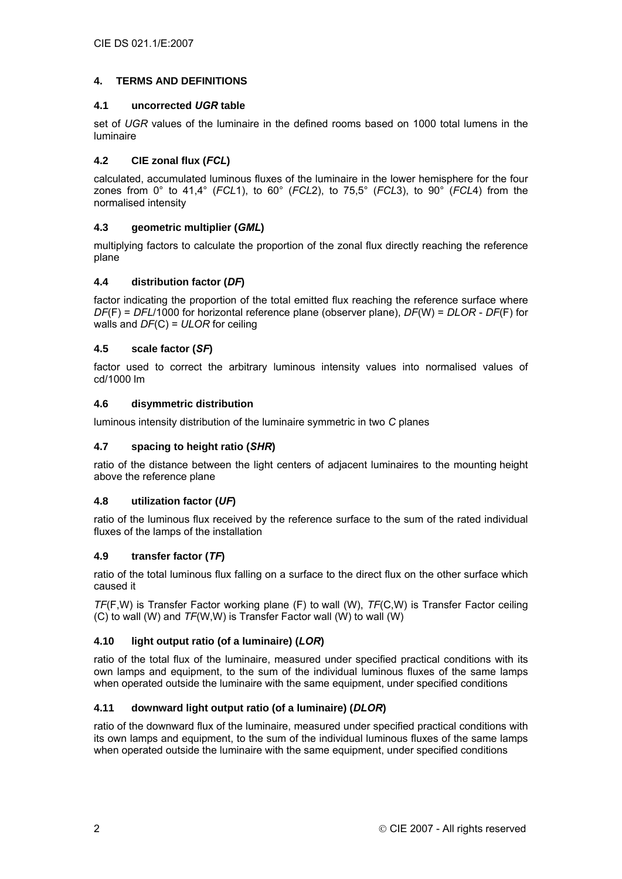#### **4. TERMS AND DEFINITIONS**

#### **4.1 uncorrected** *UGR* **table**

set of *UGR* values of the luminaire in the defined rooms based on 1000 total lumens in the luminaire

#### **4.2 CIE zonal flux (***FCL***)**

calculated, accumulated luminous fluxes of the luminaire in the lower hemisphere for the four zones from 0° to 41,4° (*FCL*1), to 60° (*FCL*2), to 75,5° (*FCL*3), to 90° (*FCL*4) from the normalised intensity

#### **4.3 geometric multiplier (***GML***)**

multiplying factors to calculate the proportion of the zonal flux directly reaching the reference plane

#### **4.4 distribution factor (***DF***)**

factor indicating the proportion of the total emitted flux reaching the reference surface where *DF*(F) = *DFL*/1000 for horizontal reference plane (observer plane), *DF*(W) = *DLOR* - *DF*(F) for walls and *DF*(C) = *ULOR* for ceiling

#### **4.5 scale factor (***SF***)**

factor used to correct the arbitrary luminous intensity values into normalised values of cd/1000 lm

#### **4.6 disymmetric distribution**

luminous intensity distribution of the luminaire symmetric in two *C* planes

#### **4.7 spacing to height ratio (***SHR***)**

ratio of the distance between the light centers of adjacent luminaires to the mounting height above the reference plane

#### **4.8 utilization factor (***UF***)**

ratio of the luminous flux received by the reference surface to the sum of the rated individual fluxes of the lamps of the installation

#### **4.9 transfer factor (***TF***)**

ratio of the total luminous flux falling on a surface to the direct flux on the other surface which caused it

*TF*(F,W) is Transfer Factor working plane (F) to wall (W), *TF*(C,W) is Transfer Factor ceiling (C) to wall (W) and *TF*(W,W) is Transfer Factor wall (W) to wall (W)

#### **4.10 light output ratio (of a luminaire) (***LOR***)**

ratio of the total flux of the luminaire, measured under specified practical conditions with its own lamps and equipment, to the sum of the individual luminous fluxes of the same lamps when operated outside the luminaire with the same equipment, under specified conditions

#### **4.11 downward light output ratio (of a luminaire) (***DLOR***)**

ratio of the downward flux of the luminaire, measured under specified practical conditions with its own lamps and equipment, to the sum of the individual luminous fluxes of the same lamps when operated outside the luminaire with the same equipment, under specified conditions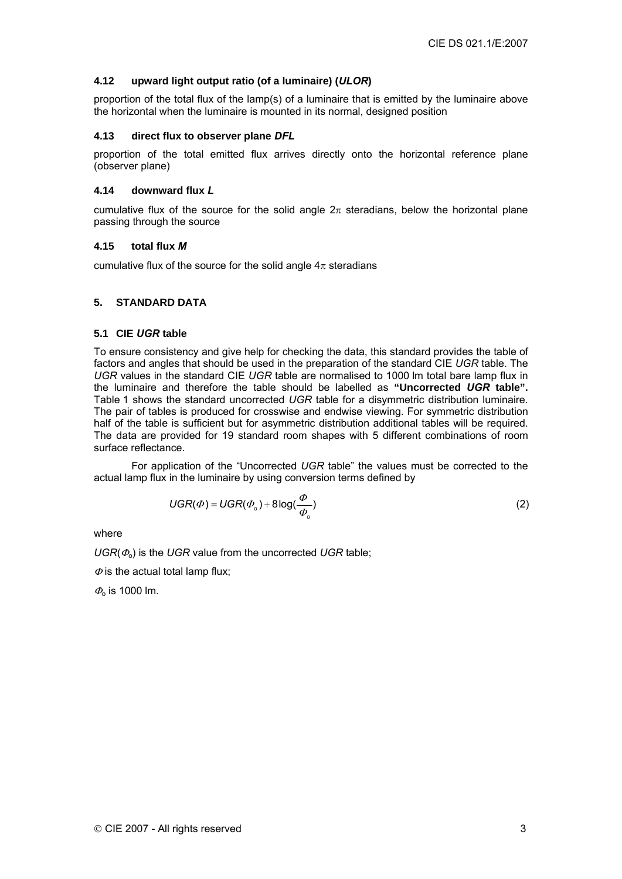#### **4.12 upward light output ratio (of a luminaire) (***ULOR***)**

proportion of the total flux of the lamp(s) of a luminaire that is emitted by the luminaire above the horizontal when the luminaire is mounted in its normal, designed position

#### **4.13 direct flux to observer plane** *DFL*

proportion of the total emitted flux arrives directly onto the horizontal reference plane (observer plane)

#### **4.14 downward flux** *L*

cumulative flux of the source for the solid angle  $2\pi$  steradians, below the horizontal plane passing through the source

#### **4.15 total flux** *M*

cumulative flux of the source for the solid angle  $4\pi$  steradians

#### **5. STANDARD DATA**

#### **5.1 CIE** *UGR* **table**

To ensure consistency and give help for checking the data, this standard provides the table of factors and angles that should be used in the preparation of the standard CIE *UGR* table. The *UGR* values in the standard CIE *UGR* table are normalised to 1000 lm total bare lamp flux in the luminaire and therefore the table should be labelled as **"Uncorrected** *UGR* **table".** Table 1 shows the standard uncorrected *UGR* table for a disymmetric distribution luminaire. The pair of tables is produced for crosswise and endwise viewing. For symmetric distribution half of the table is sufficient but for asymmetric distribution additional tables will be required. The data are provided for 19 standard room shapes with 5 different combinations of room surface reflectance.

For application of the "Uncorrected *UGR* table" the values must be corrected to the actual lamp flux in the luminaire by using conversion terms defined by

$$
UGR(\varPhi) = UGR(\varPhi_{\circ}) + 8\log(\frac{\varPhi}{\varPhi_{\circ}})
$$
\n(2)

where

 $UGR(\Phi_0)$  is the *UGR* value from the uncorrected *UGR* table;

 $\Phi$  is the actual total lamp flux;

 $\phi_0$  is 1000 lm.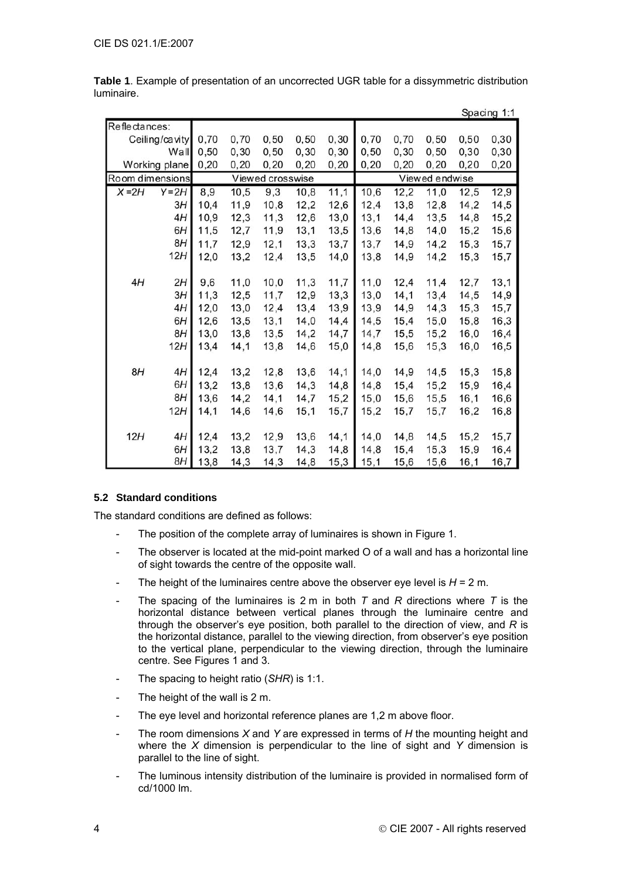|                 |                |      |       |                  |       |       |      |       |                |      | Spacing 1:1 |
|-----------------|----------------|------|-------|------------------|-------|-------|------|-------|----------------|------|-------------|
| Reflectances:   |                |      |       |                  |       |       |      |       |                |      |             |
|                 | Ceiling/cavity | 0,70 | 0,70  | 0, 50            | 0, 50 | 0, 30 | 0,70 | 0,70  | 0, 50          | 0.50 | 0,30        |
|                 | Wall           | 0,50 | 0, 30 | 0, 50            | 0, 30 | 0, 30 | 0,50 | 0, 30 | 0, 50          | 0,30 | 0,30        |
|                 | Working plane  | 0,20 | 0, 20 | 0,20             | 0, 20 | 0,20  | 0,20 | 0,20  | 0,20           | 0,20 | 0,20        |
| Room dimensions |                |      |       | Viewed crosswise |       |       |      |       | Viewed endwise |      |             |
| $X=2H$          | $Y=2H$         | 8,9  | 10,5  | 9,3              | 10,8  | 11,1  | 10,6 | 12,2  | 11,0           | 12,5 | 12,9        |
|                 | 3H             | 10,4 | 11,9  | 10,8             | 12,2  | 12,6  | 12,4 | 13,8  | 12,8           | 14,2 | 14,5        |
|                 | 4H             | 10,9 | 12,3  | 11,3             | 12,6  | 13,0  | 13,1 | 14,4  | 13,5           | 14,8 | 15,2        |
|                 | 6H             | 11,5 | 12,7  | 11,9             | 13,1  | 13,5  | 13,6 | 14,8  | 14,0           | 15,2 | 15,6        |
|                 | 8H             | 11,7 | 12,9  | 12,1             | 13,3  | 13,7  | 13,7 | 14,9  | 14,2           | 15,3 | 15,7        |
|                 | 12H            | 12,0 | 13,2  | 12,4             | 13,5  | 14,0  | 13,8 | 14,9  | 14,2           | 15,3 | 15,7        |
|                 |                |      |       |                  |       |       |      |       |                |      |             |
| 4H              | 2H             | 9,6  | 11,0  | 10,0             | 11,3  | 11,7  | 11,0 | 12,4  | 11,4           | 12,7 | 13,1        |
|                 | 3H             | 11,3 | 12,5  | 11,7             | 12,9  | 13,3  | 13,0 | 14,1  | 13,4           | 14,5 | 14,9        |
|                 | 4H             | 12,0 | 13,0  | 12,4             | 13,4  | 13,9  | 13,9 | 14,9  | 14,3           | 15,3 | 15,7        |
|                 | 6H             | 12,6 | 13,5  | 13,1             | 14,0  | 14,4  | 14,5 | 15,4  | 15,0           | 15,8 | 16,3        |
|                 | 8H             | 13,0 | 13,8  | 13,5             | 14,2  | 14,7  | 14,7 | 15,5  | 15,2           | 16,0 | 16,4        |
|                 | 12H            | 13,4 | 14,1  | 13,8             | 14,6  | 15,0  | 14,8 | 15,6  | 15,3           | 16,0 | 16,5        |
|                 |                |      |       |                  |       |       |      |       |                |      |             |
| 8H              | 4H             | 12,4 | 13,2  | 12,8             | 13,6  | 14,1  | 14,0 | 14,9  | 14,5           | 15,3 | 15,8        |
|                 | 6H             | 13,2 | 13,8  | 13,6             | 14,3  | 14,8  | 14,8 | 15,4  | 15,2           | 15,9 | 16,4        |
|                 | 8H             | 13,6 | 14,2  | 14,1             | 14,7  | 15,2  | 15,0 | 15,6  | 15,5           | 16,1 | 16,6        |
|                 | 12H            | 14,1 | 14,6  | 14,6             | 15,1  | 15,7  | 15,2 | 15,7  | 15,7           | 16,2 | 16,8        |
|                 |                |      |       |                  |       |       |      |       |                |      |             |
| 12H             | 4H             | 12,4 | 13,2  | 12,9             | 13,6  | 14,1  | 14,0 | 14,8  | 14,5           | 15,2 | 15,7        |
|                 | 6H             | 13,2 | 13,8  | 13,7             | 14,3  | 14,8  | 14,8 | 15,4  | 15,3           | 15,9 | 16,4        |
|                 | 8H             | 13,8 | 14,3  | 14,3             | 14,8  | 15,3  | 15,1 | 15,6  | 15,6           | 16,1 | 16,7        |

**Table 1**. Example of presentation of an uncorrected UGR table for a dissymmetric distribution luminaire.

#### **5.2 Standard conditions**

The standard conditions are defined as follows:

- The position of the complete array of luminaires is shown in Figure 1.
- The observer is located at the mid-point marked O of a wall and has a horizontal line of sight towards the centre of the opposite wall.
- The height of the luminaires centre above the observer eye level is  $H = 2$  m.
- The spacing of the luminaires is 2 m in both  $T$  and  $R$  directions where  $T$  is the horizontal distance between vertical planes through the luminaire centre and through the observer's eye position, both parallel to the direction of view, and *R* is the horizontal distance, parallel to the viewing direction, from observer's eye position to the vertical plane, perpendicular to the viewing direction, through the luminaire centre. See Figures 1 and 3.
- The spacing to height ratio (*SHR*) is 1:1.
- The height of the wall is 2 m.
- The eye level and horizontal reference planes are 1,2 m above floor.
- The room dimensions *X* and *Y* are expressed in terms of *H* the mounting height and where the *X* dimension is perpendicular to the line of sight and *Y* dimension is parallel to the line of sight.
- The luminous intensity distribution of the luminaire is provided in normalised form of cd/1000 lm.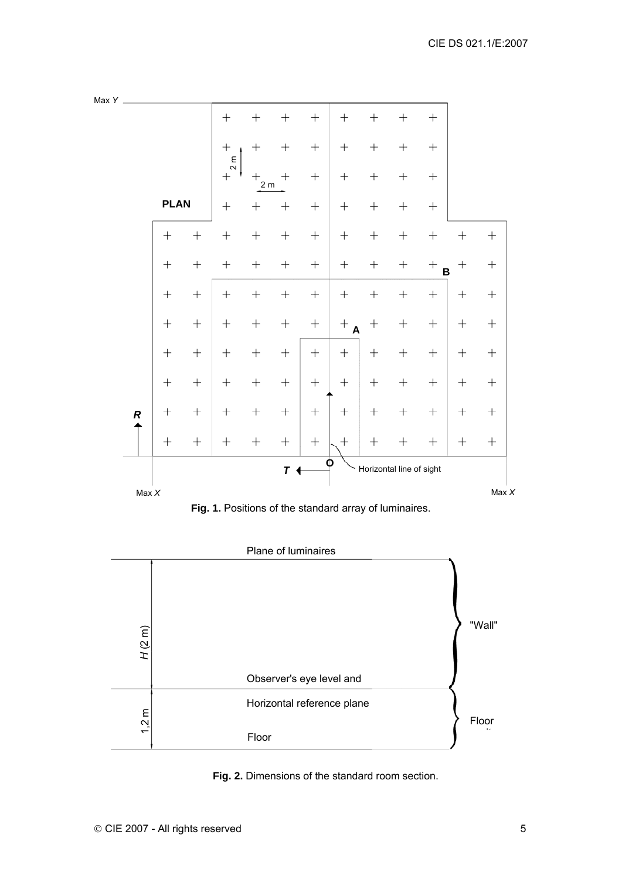

**Fig. 1.** Positions of the standard array of luminaires.



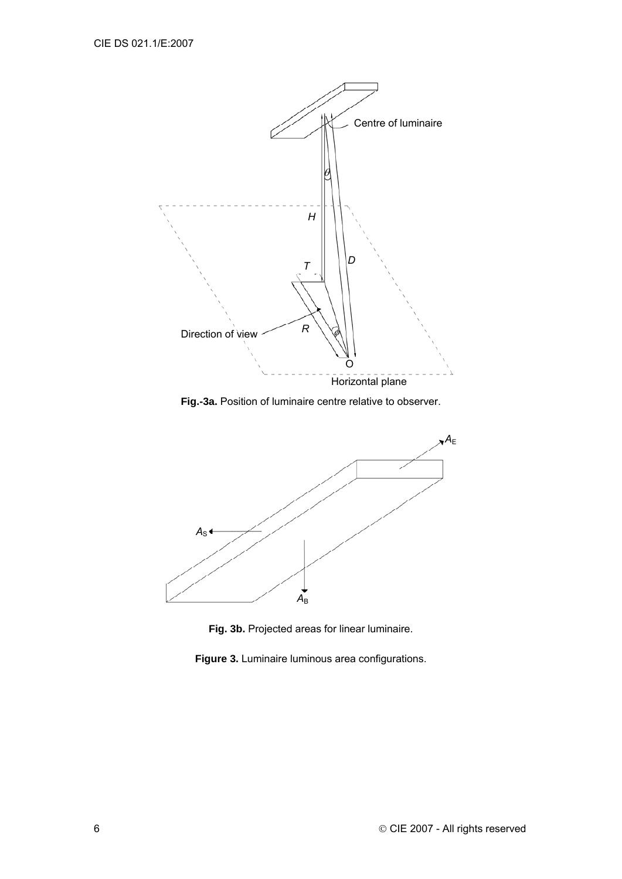

**Fig.-3a.** Position of luminaire centre relative to observer.



**Fig. 3b.** Projected areas for linear luminaire.

**Figure 3.** Luminaire luminous area configurations.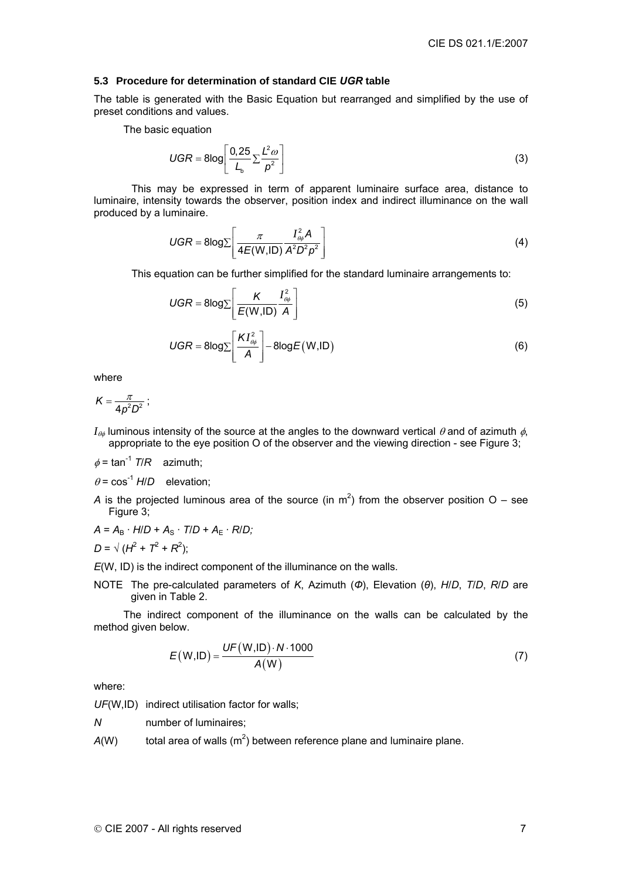#### **5.3 Procedure for determination of standard CIE** *UGR* **table**

The table is generated with the Basic Equation but rearranged and simplified by the use of preset conditions and values.

The basic equation

$$
UGR = 8\log\left[\frac{0.25}{L_b}\sum \frac{L^2\omega}{\rho^2}\right]
$$
 (3)

This may be expressed in term of apparent luminaire surface area, distance to luminaire, intensity towards the observer, position index and indirect illuminance on the wall produced by a luminaire.

$$
UGR = 8\log \left[\frac{\pi}{4E(W, ID)}\frac{I_{\alpha\phi}^2 A}{A^2 D^2 \rho^2}\right]
$$
 (4)

This equation can be further simplified for the standard luminaire arrangements to:

$$
UGR = 8\log \left[\frac{K}{E(W, ID)}\frac{I_{\theta\phi}^2}{A}\right]
$$
 (5)

$$
UGR = 8\log \sum \left[\frac{KI_{\theta\phi}^2}{A}\right] - 8\log E(W, ID) \tag{6}
$$

where

$$
K=\frac{\pi}{4p^2D^2};
$$

 $I_{\theta\phi}$  luminous intensity of the source at the angles to the downward vertical  $\theta$  and of azimuth  $\phi$ , appropriate to the eye position O of the observer and the viewing direction - see Figure 3;

 $\phi$  = tan<sup>-1</sup> *T*/*R* azimuth;

 $\theta$  = cos<sup>-1</sup> *HID* elevation;

A is the projected luminous area of the source (in  $m^2$ ) from the observer position O – see Figure 3;

 $A = A_B \cdot H/D + A_S \cdot T/D + A_E \cdot R/D;$ 

$$
D = \sqrt{(H^2 + T^2 + R^2)};
$$

*E*(W, ID) is the indirect component of the illuminance on the walls.

NOTE The pre-calculated parameters of *K*, Azimuth (*Ф*), Elevation (*θ*), *H*/*D*, *T*/*D*, *R*/*D* are given in Table 2.

The indirect component of the illuminance on the walls can be calculated by the method given below.

$$
E(W, ID) = \frac{UF(W, ID) \cdot N \cdot 1000}{A(W)}
$$
 (7)

where:

*UF*(W,ID) indirect utilisation factor for walls;

*N* number of luminaires;

$$
A(W)
$$
 total area of walls (m<sup>2</sup>) between reference plane and luminaire plane.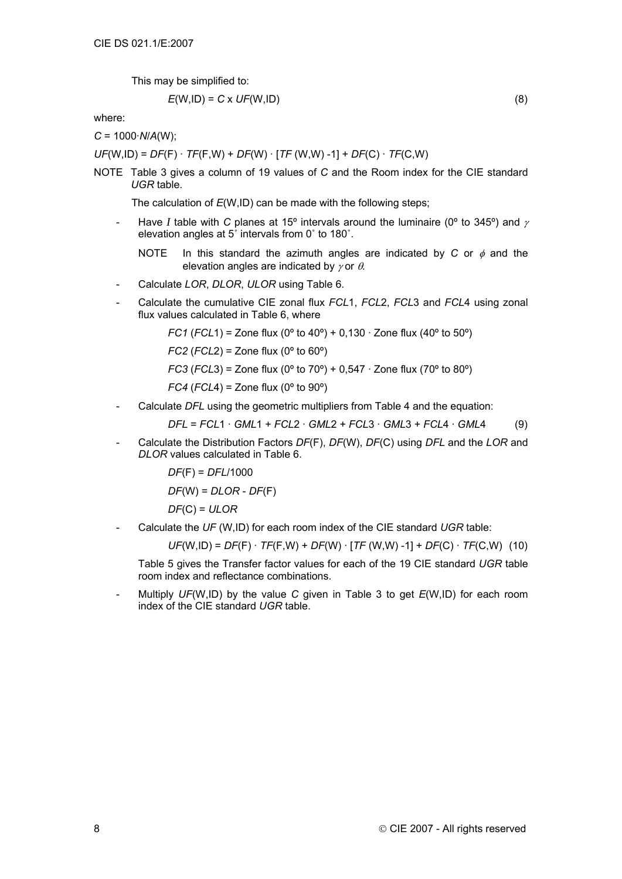This may be simplified to:

*E*(W,ID) = *C* x *UF*(W,ID) (8)

where:

*C* = 1000·*N*/*A*(W);

 $UF(W, ID) = DF(F) \cdot TF(F, W) + DF(W) \cdot [TF (W, W) -1] + DF(C) \cdot TF(C, W)$ 

NOTE Table 3 gives a column of 19 values of *C* and the Room index for the CIE standard *UGR* table.

The calculation of *E*(W,ID) can be made with the following steps;

- Have *I* table with *C* planes at 15º intervals around the luminaire (0º to 345º) and <sup>γ</sup> elevation angles at 5˚ intervals from 0˚ to 180˚.
	- NOTE In this standard the azimuth angles are indicated by *C* or φ and the elevation angles are indicated by γ or θ*.*
- Calculate *LOR*, *DLOR*, *ULOR* using Table 6.
- Calculate the cumulative CIE zonal flux *FCL*1, *FCL*2, *FCL*3 and *FCL*4 using zonal flux values calculated in Table 6, where

*FC1* (*FCL*1) = Zone flux (0º to 40º) + 0,130 · Zone flux (40º to 50º)

*FC2* (*FCL*2) = Zone flux (0º to 60º)

*FC3* (*FCL3*) = Zone flux (0<sup>o</sup> to 70<sup>o</sup>) + 0,547  $\cdot$  Zone flux (70<sup>o</sup> to 80<sup>o</sup>)

$$
FC4 (FCL4) = \text{Zone flux } (0^{\circ} \text{ to } 90^{\circ})
$$

Calculate *DFL* using the geometric multipliers from Table 4 and the equation:

$$
DFL = FCL1 \cdot GML1 + FCL2 \cdot GML2 + FCL3 \cdot GML3 + FCL4 \cdot GML4
$$
 (9)

- Calculate the Distribution Factors *DF*(F), *DF*(W), *DF*(C) using *DFL* and the *LOR* and *DLOR* values calculated in Table 6.

> *DF*(F) = *DFL*/1000 *DF*(W) = *DLOR* - *DF*(F) *DF*(C) = *ULOR*

- Calculate the *UF* (W,ID) for each room index of the CIE standard *UGR* table:

 $UF(W, ID) = DF(F) \cdot TF(F, W) + DF(W) \cdot [TF (W, W) -1] + DF(C) \cdot TF(C, W)$  (10)

Table 5 gives the Transfer factor values for each of the 19 CIE standard *UGR* table room index and reflectance combinations.

- Multiply *UF*(W,ID) by the value *C* given in Table 3 to get *E*(W,ID) for each room index of the CIE standard *UGR* table.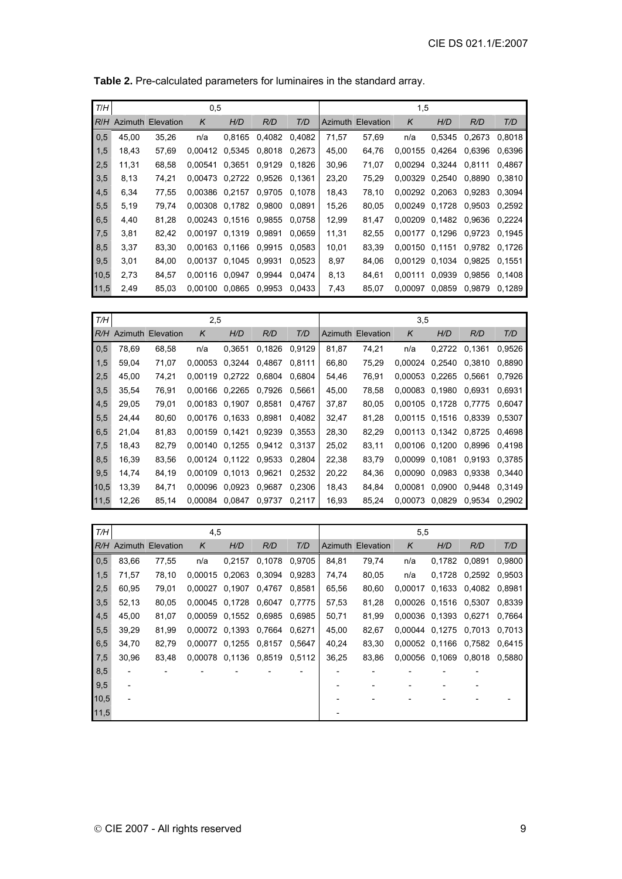| T/H  |       |                          | 0,5            |        |        |        |       |                          | 1,5     |               |        |        |
|------|-------|--------------------------|----------------|--------|--------|--------|-------|--------------------------|---------|---------------|--------|--------|
| R/H  |       | <b>Azimuth Elevation</b> | K              | H/D    | R/D    | T/D    |       | <b>Azimuth Elevation</b> | K       | H/D           | R/D    | T/D    |
| 0,5  | 45,00 | 35,26                    | n/a            | 0.8165 | 0,4082 | 0,4082 | 71,57 | 57,69                    | n/a     | 0.5345        | 0,2673 | 0.8018 |
| 1,5  | 18,43 | 57,69                    | 0.00412        | 0,5345 | 0,8018 | 0,2673 | 45,00 | 64,76                    | 0,00155 | 0,4264        | 0,6396 | 0,6396 |
| 2,5  | 11,31 | 68,58                    | 0.00541        | 0,3651 | 0,9129 | 0.1826 | 30,96 | 71,07                    | 0,00294 | 0,3244        | 0,8111 | 0.4867 |
| 3,5  | 8,13  | 74,21                    | 0.00473        | 0.2722 | 0,9526 | 0.1361 | 23,20 | 75,29                    | 0.00329 | 0,2540        | 0.8890 | 0.3810 |
| 4,5  | 6,34  | 77,55                    | 0.00386        | 0,2157 | 0,9705 | 0.1078 | 18,43 | 78,10                    | 0.00292 | 0,2063        | 0,9283 | 0.3094 |
| 5,5  | 5,19  | 79,74                    | 0.00308        | 0,1782 | 0.9800 | 0.0891 | 15,26 | 80,05                    | 0.00249 | 0,1728        | 0.9503 | 0.2592 |
| 6,5  | 4,40  | 81,28                    | 0,00243 0,1516 |        | 0,9855 | 0,0758 | 12,99 | 81,47                    | 0,00209 | 0.1482 0.9636 |        | 0,2224 |
| 7,5  | 3,81  | 82,42                    | 0.00197        | 0,1319 | 0,9891 | 0.0659 | 11,31 | 82,55                    | 0.00177 | 0,1296        | 0,9723 | 0.1945 |
| 8,5  | 3,37  | 83,30                    | 0.00163        | 0,1166 | 0,9915 | 0.0583 | 10,01 | 83,39                    | 0,00150 | 0,1151        | 0,9782 | 0.1726 |
| 9,5  | 3,01  | 84,00                    | 0.00137        | 0,1045 | 0,9931 | 0.0523 | 8,97  | 84,06                    | 0.00129 | 0,1034        | 0,9825 | 0.1551 |
| 10,5 | 2,73  | 84,57                    | 0.00116        | 0,0947 | 0,9944 | 0.0474 | 8,13  | 84,61                    | 0.00111 | 0,0939        | 0,9856 | 0.1408 |
| 11,5 | 2,49  | 85,03                    | 0.00100        | 0,0865 | 0,9953 | 0,0433 | 7,43  | 85,07                    | 0.00097 | 0,0859        | 0,9879 | 0.1289 |

**Table 2.** Pre-calculated parameters for luminaires in the standard array.

| T/H  |       |                       | 2,5            |        |        |        |       |                          | 3,5            |        |        |        |
|------|-------|-----------------------|----------------|--------|--------|--------|-------|--------------------------|----------------|--------|--------|--------|
|      |       | R/H Azimuth Elevation | K              | H/D    | R/D    | T/D    |       | <b>Azimuth Elevation</b> | K              | H/D    | R/D    | T/D    |
| 0,5  | 78.69 | 68,58                 | n/a            | 0.3651 | 0,1826 | 0.9129 | 81,87 | 74,21                    | n/a            | 0.2722 | 0,1361 | 0.9526 |
| 1,5  | 59,04 | 71,07                 | 0.00053        | 0,3244 | 0,4867 | 0.8111 | 66,80 | 75,29                    | 0.00024        | 0,2540 | 0,3810 | 0.8890 |
| 2,5  | 45,00 | 74,21                 | 0.00119        | 0,2722 | 0,6804 | 0.6804 | 54,46 | 76,91                    | 0,00053        | 0,2265 | 0,5661 | 0.7926 |
| 3,5  | 35,54 | 76,91                 | 0.00166        | 0,2265 | 0,7926 | 0.5661 | 45,00 | 78,58                    | 0.00083        | 0,1980 | 0,6931 | 0.6931 |
| 4,5  | 29,05 | 79,01                 | 0.00183        | 0,1907 | 0,8581 | 0.4767 | 37,87 | 80,05                    | 0.00105        | 0,1728 | 0,7775 | 0.6047 |
| 5,5  | 24,44 | 80,60                 | 0.00176        | 0,1633 | 0,8981 | 0.4082 | 32,47 | 81,28                    | 0.00115        | 0,1516 | 0.8339 | 0,5307 |
| 6,5  | 21,04 | 81,83                 | 0.00159        | 0,1421 | 0,9239 | 0.3553 | 28,30 | 82,29                    | 0,00113 0,1342 |        | 0,8725 | 0.4698 |
| 7.5  | 18,43 | 82,79                 | 0.00140        | 0.1255 | 0.9412 | 0.3137 | 25,02 | 83,11                    | 0.00106        | 0.1200 | 0.8996 | 0.4198 |
| 8,5  | 16,39 | 83,56                 | 0,00124 0,1122 |        | 0,9533 | 0.2804 | 22,38 | 83,79                    | 0.00099        | 0,1081 | 0.9193 | 0.3785 |
| 9,5  | 14,74 | 84,19                 | 0.00109        | 0,1013 | 0,9621 | 0.2532 | 20,22 | 84,36                    | 0.00090        | 0,0983 | 0,9338 | 0.3440 |
| 10,5 | 13,39 | 84,71                 | 0.00096        | 0,0923 | 0,9687 | 0.2306 | 18,43 | 84,84                    | 0.00081        | 0,0900 | 0,9448 | 0.3149 |
| 11,5 | 12,26 | 85,14                 | 0.00084        | 0,0847 | 0,9737 | 0.2117 | 16,93 | 85,24                    | 0.00073        | 0,0829 | 0,9534 | 0,2902 |

| T/H  |       |                       | 4,5                          |        |               |        |       |                          | 5,5                   |               |               |        |
|------|-------|-----------------------|------------------------------|--------|---------------|--------|-------|--------------------------|-----------------------|---------------|---------------|--------|
|      |       | R/H Azimuth Elevation | K                            | H/D    | R/D           | T/D    |       | <b>Azimuth Elevation</b> | K                     | H/D           | R/D           | T/D    |
| 0,5  | 83,66 | 77,55                 | n/a                          | 0,2157 | 0,1078 0,9705 |        | 84.81 | 79,74                    | n/a                   | 0,1782 0,0891 |               | 0,9800 |
| 1,5  | 71,57 | 78,10                 | 0,00015 0,2063               |        | 0,3094 0,9283 |        | 74,74 | 80,05                    | n/a                   |               | 0,1728 0,2592 | 0,9503 |
| 2,5  | 60,95 | 79,01                 | 0,00027                      | 0,1907 | 0,4767        | 0,8581 | 65,56 | 80,60                    | 0,00017               | 0,1633        | 0,4082        | 0,8981 |
| 3,5  | 52,13 | 80,05                 | 0,00045 0,1728 0,6047 0,7775 |        |               |        | 57,53 | 81,28                    | 0,00026 0,1516 0,5307 |               |               | 0.8339 |
| 4,5  | 45,00 | 81,07                 | 0,00059 0,1552 0,6985 0,6985 |        |               |        | 50,71 | 81,99                    | 0,00036 0,1393 0,6271 |               |               | 0.7664 |
| 5,5  | 39,29 | 81,99                 | 0,00072 0,1393 0,7664        |        |               | 0.6271 | 45,00 | 82,67                    | 0,00044 0,1275 0,7013 |               |               | 0.7013 |
| 6,5  | 34,70 | 82,79                 | 0,00077 0,1255 0,8157        |        |               | 0.5647 | 40,24 | 83,30                    | 0,00052 0,1166 0,7582 |               |               | 0.6415 |
| 7,5  | 30,96 | 83,48                 | 0,00078 0,1136 0,8519 0,5112 |        |               |        | 36,25 | 83,86                    | 0,00056 0,1069 0,8018 |               |               | 0,5880 |
| 8,5  |       |                       |                              |        |               |        |       |                          |                       |               |               |        |
| 9,5  |       |                       |                              |        |               |        |       |                          |                       |               |               |        |
| 10,5 |       |                       |                              |        |               |        |       |                          |                       |               |               |        |
| 11,5 |       |                       |                              |        |               |        |       |                          |                       |               |               |        |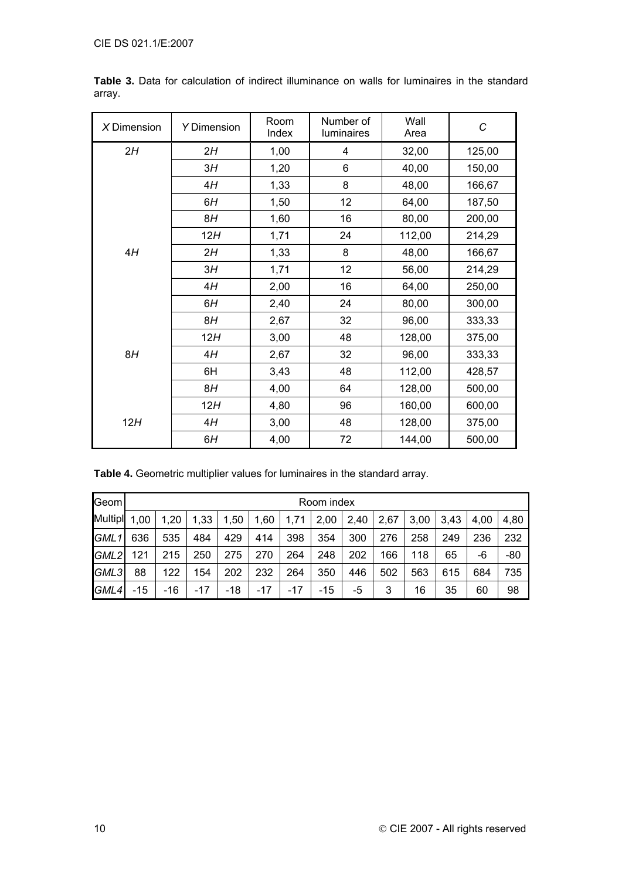| $X$ Dimension | <b>Y</b> Dimension | Room<br>Index | Number of<br>luminaires | Wall<br>Area | $\mathcal{C}$ |
|---------------|--------------------|---------------|-------------------------|--------------|---------------|
| 2H            | 2H                 | 1,00          | $\overline{4}$          | 32,00        | 125,00        |
|               | 3H                 | 1,20          | 6                       | 40,00        | 150,00        |
|               | 4H                 | 1,33          | 8                       | 48,00        | 166,67        |
|               | 6H                 | 1,50          | 12                      | 64,00        | 187,50        |
|               | 8H                 | 1,60          | 16                      | 80,00        | 200,00        |
|               | 12H                | 1,71          | 24                      | 112,00       | 214,29        |
| 4H            | 2H                 | 1,33          | 8                       | 48,00        | 166,67        |
|               | 3H                 | 1,71          | 12                      | 56,00        | 214,29        |
|               | 4H                 | 2,00          | 16                      | 64,00        | 250,00        |
|               | 6H                 | 2,40          | 24                      | 80,00        | 300,00        |
|               | 8H                 | 2,67          | 32                      | 96,00        | 333,33        |
|               | 12H                | 3,00          | 48                      | 128,00       | 375,00        |
| 8H            | 4H                 | 2,67          | 32                      | 96,00        | 333,33        |
|               | 6H                 | 3,43          | 48                      | 112,00       | 428,57        |
|               | 8H                 | 4,00          | 64                      | 128,00       | 500,00        |
|               | 12H                | 4,80          | 96                      | 160,00       | 600,00        |
| 12H           | 4H                 | 3,00          | 48                      | 128,00       | 375,00        |
|               | 6H                 | 4,00          | 72                      | 144,00       | 500,00        |

**Table 3.** Data for calculation of indirect illuminance on walls for luminaires in the standard array.

| Table 4. Geometric multiplier values for luminaires in the standard array. |
|----------------------------------------------------------------------------|
|----------------------------------------------------------------------------|

| Geom             |       |       |       |      |       |       | Room index |      |      |      |      |      |      |
|------------------|-------|-------|-------|------|-------|-------|------------|------|------|------|------|------|------|
| <b>Multipl</b>   | 1,00  | ,20   | 1,33  | 1,50 | 1,60  | 1,71  | 2,00       | 2,40 | 2,67 | 3,00 | 3,43 | 4,00 | 4,80 |
| GML1             | 636   | 535   | 484   | 429  | 414   | 398   | 354        | 300  | 276  | 258  | 249  | 236  | 232  |
| GML <sub>2</sub> | 121   | 215   | 250   | 275  | 270   | 264   | 248        | 202  | 166  | 118  | 65   | -6   | -80  |
| GML3             | 88    | 122   | 154   | 202  | 232   | 264   | 350        | 446  | 502  | 563  | 615  | 684  | 735  |
| GML4             | $-15$ | $-16$ | $-17$ | -18  | $-17$ | $-17$ | $-15$      | -5   | 3    | 16   | 35   | 60   | 98   |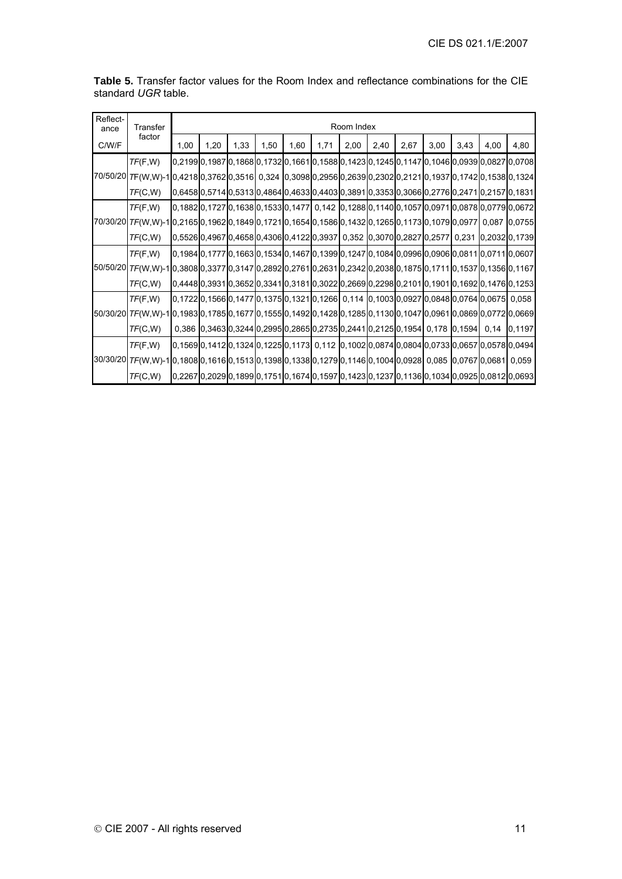L,

| Reflect-<br>ance | Transfer                                                                                                                         |      |      |                                                                                                                                                                                                                                |      |      |      | Room Index |      |      |      |      |      |      |
|------------------|----------------------------------------------------------------------------------------------------------------------------------|------|------|--------------------------------------------------------------------------------------------------------------------------------------------------------------------------------------------------------------------------------|------|------|------|------------|------|------|------|------|------|------|
| C/W/F            | factor                                                                                                                           | 1,00 | 1,20 | 1,33                                                                                                                                                                                                                           | 1,50 | 1,60 | 1,71 | 2,00       | 2,40 | 2,67 | 3,00 | 3,43 | 4,00 | 4,80 |
|                  | TF(F,W)                                                                                                                          |      |      | $0,21990,19870,18680,17320,16610,15880,14230,12450,11470,10460,09390,08270,0708$                                                                                                                                               |      |      |      |            |      |      |      |      |      |      |
|                  | 70/50/20 TF(W,W)-1 0,4218 0,3762 0,3516   0,324   0,3098   0,2956   0,2639   0,2302   0,2121   0,1937   0,1742   0,1538   0,1324 |      |      |                                                                                                                                                                                                                                |      |      |      |            |      |      |      |      |      |      |
|                  | TF(C,W)                                                                                                                          |      |      | 0,6458 0,5714 0,5313 0,4864 0,4633 0,4403 0,3891 0,3353 0,3066 0,2776 0,2471 0,2157 0,1831                                                                                                                                     |      |      |      |            |      |      |      |      |      |      |
|                  | TF(F,W)                                                                                                                          |      |      | 0,18820,17270,16380,15330,1477 0,142 0,12880,11400,10570,09710,08780,07790,0672                                                                                                                                                |      |      |      |            |      |      |      |      |      |      |
|                  | 70/30/20 7F(W,W)-1 0,2165 0,1962 0,1849 0,1721 0,1654 0,1586 0,1432 0,1265 0,1173 0,1079 0,0977  0,087  0,0755                   |      |      |                                                                                                                                                                                                                                |      |      |      |            |      |      |      |      |      |      |
|                  | TF(C,W)                                                                                                                          |      |      | 0,5526 0,4967 0,4658 0,4306 0,4122 0,3937  0,352  0,3070 0,2827 0,2577  0,231  0,2032 0,1739                                                                                                                                   |      |      |      |            |      |      |      |      |      |      |
|                  | TF(F,W)                                                                                                                          |      |      | 0.1984 0.1777 0.1663 0.1534 0.1467 0.1399 0.1247 0.1084 0.0996 0.0906 0.0811 0.0711 0.0607                                                                                                                                     |      |      |      |            |      |      |      |      |      |      |
|                  | 50/50/20 7F(W,W)-1 0,3808 0,3377 0,3147 0,2892 0,2761 0,2631 0,2342 0,2038 0,1875 0,1711 0,1537 0,1356 0,1167                    |      |      |                                                                                                                                                                                                                                |      |      |      |            |      |      |      |      |      |      |
|                  | TF(C,W)                                                                                                                          |      |      | $0,4448 0,3931 0,3652 0,3341 0,3181 0,3022 0,2669 0,2298 0,2101 0,1901 0,1692 0,1476 0,1253 0,1476 0,1253 0,1476 0,1253 0,1476 0,1253 0,1476 0,1253 0,1253 0,1253 0,1253 0,1253 0,1253 0,1253 0,1253 0,1253 0,1253 0,1253 0,1$ |      |      |      |            |      |      |      |      |      |      |
|                  | TF(F,W)                                                                                                                          |      |      | 0.17220.15660.14770.13750.13210.12660.114 0.10030.09270.08480.07640.06750.058                                                                                                                                                  |      |      |      |            |      |      |      |      |      |      |
|                  | 50/30/20 7F(W,W)-1 0,1983 0,1785 0,1677 0,1555 0,1492 0,1428 0,1285 0,1130 0,1047 0,0961 0,0869 0,0772 0,0669                    |      |      |                                                                                                                                                                                                                                |      |      |      |            |      |      |      |      |      |      |
|                  | TF(C,W)                                                                                                                          |      |      | 0,386 0,3463 0,3244 0,2995 0,2865 0,2735 0,2441 0,2125 0,1954 0,178 0,1594 0,14 0,1197                                                                                                                                         |      |      |      |            |      |      |      |      |      |      |
|                  | TF(F,W)                                                                                                                          |      |      | 0,15690,14120,13240,12250,1173 0,112 0,10020,08740,08040,07330,06570,05780,0494                                                                                                                                                |      |      |      |            |      |      |      |      |      |      |
|                  | 30/30/20 7F(W,W)-1 0,1808 0,1616 0,1513 0,1398 0,1338 0,1279 0,1146 0,1004 0,0928  0,085  0,0767 0,0681  0,059                   |      |      |                                                                                                                                                                                                                                |      |      |      |            |      |      |      |      |      |      |
|                  | TF(C,W)                                                                                                                          |      |      | 0,2267 0,2029 0,1899 0,1751 0,1674 0,1597 0,1423 0,1237 0,1136 0,1034 0,0925 0,0812 0,0693                                                                                                                                     |      |      |      |            |      |      |      |      |      |      |

**Table 5.** Transfer factor values for the Room Index and reflectance combinations for the CIE standard *UGR* table.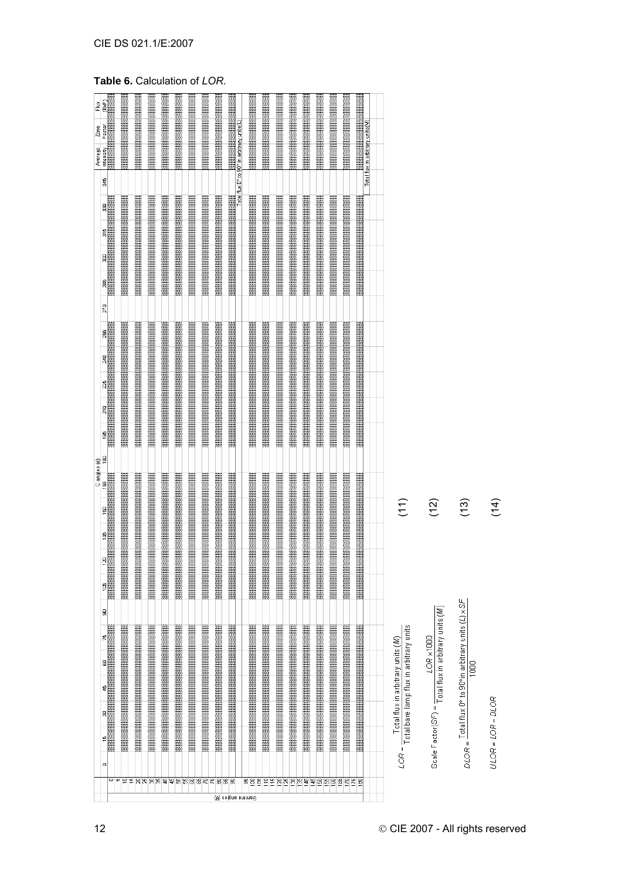**Table 6.** Calculation of *LOR*.

| $\tilde{\mathrm{Flux}}$<br>(ExF)<br>Zone<br>Factor<br>Average<br>Intensity |                                                                                                                     |                    |                        |                       |                                                                                                                      | flux D° to 90° in arbitrary units(L |                                                                                                                |                                                                                                                      |                                                |  |                   |                                                                                                                                                                                                                                      |                                                                                                                        | <u> Herman School in de Borger in de Borger in de Borger in de Borger in de Borger in de Borger in de Borger in d</u><br>Total flux in arbitrary units (M |                                   |                                                                                      |                                                                  |                   |
|----------------------------------------------------------------------------|---------------------------------------------------------------------------------------------------------------------|--------------------|------------------------|-----------------------|----------------------------------------------------------------------------------------------------------------------|-------------------------------------|----------------------------------------------------------------------------------------------------------------|----------------------------------------------------------------------------------------------------------------------|------------------------------------------------|--|-------------------|--------------------------------------------------------------------------------------------------------------------------------------------------------------------------------------------------------------------------------------|------------------------------------------------------------------------------------------------------------------------|-----------------------------------------------------------------------------------------------------------------------------------------------------------|-----------------------------------|--------------------------------------------------------------------------------------|------------------------------------------------------------------|-------------------|
| 胃<br><b>UEE</b><br>чп<br>해                                                 |                                                                                                                     |                    |                        |                       |                                                                                                                      | Total 1                             |                                                                                                                |                                                                                                                      |                                                |  |                   |                                                                                                                                                                                                                                      |                                                                                                                        | a kabupatén Tanah Barat,  Propinsi Jaw                                                                                                                    |                                   |                                                                                      |                                                                  |                   |
| ă<br>鹄<br>270                                                              |                                                                                                                     |                    |                        |                       |                                                                                                                      |                                     |                                                                                                                |                                                                                                                      |                                                |  |                   |                                                                                                                                                                                                                                      |                                                                                                                        |                                                                                                                                                           |                                   |                                                                                      |                                                                  |                   |
| 쏇<br>R<br>뉇<br>E.<br>$\frac{210}{25}$<br>뽜                                 |                                                                                                                     |                    |                        | ▌                     |                                                                                                                      |                                     |                                                                                                                |                                                                                                                      |                                                |  |                   |                                                                                                                                                                                                                                      |                                                                                                                        |                                                                                                                                                           |                                   |                                                                                      |                                                                  |                   |
| $\frac{C \text{ angles } (6)}{155}$ 180<br>₫<br>쌹<br>$\frac{120}{25}$      | <u> Francisco de la contecerciación de la contecerciación de la contecerciación de la contecerciación de la con</u> | <u>the product</u> | ▌<br><u>Formalized</u> | ▌<br><u>Hollowing</u> | <b>UNITED STATES OF A STATES OF A STATES OF A STATES OF A STATES OF A STATES OF A STATES OF A STATES OF A STATES</b> |                                     | ▌<br><b>UNITED STATES OF A STATE OF A STATE OF A STATE OF A STATE OF A STATE OF A STATE OF A STATE OF A ST</b> | <u>UNITED STATES OF A STATE OF A STATE OF A STATE OF A STATE OF A STATE OF A STATE OF A STATE OF A STATE OF A ST</u> | <u> Formal Population in the population of</u> |  | <u>Formalized</u> | <u>The model of the second parties of the second parties of the second parties of the second parties of the second parties of the second parties of the second parties of the second parties of the second parties of the second</u> |                                                                                                                        | <u> Timboliko erresta erresta erresta erresta erresta erresta erresta erresta erresta erresta erresta erresta er</u><br><u>i i martin s</u>               | (11)                              | (12)                                                                                 | (13)                                                             | (14)<br>र         |
| <u>Film</u><br>ã<br>8<br>자<br>의<br>11<br>뭬<br>떀<br>$\Box$                  |                                                                                                                     |                    |                        |                       |                                                                                                                      |                                     |                                                                                                                |                                                                                                                      |                                                |  |                   |                                                                                                                                                                                                                                      | <u> se a la provincia de la provincia de la provincia del provincia del provincia del provincia del provincia del </u> |                                                                                                                                                           | Total flux in arbitrary units (M) | Scale Factor(SF) = $\frac{1}{\text{Total flux in arbitrary units (M)}}$<br>LOR x1000 | Total flux 0° to 90°in arbitrary units (L) x SF<br>1000<br>DLOR. | ULOR = LOR - DLOR |
|                                                                            |                                                                                                                     |                    |                        |                       |                                                                                                                      | (8) salgne smme©                    | <u>Nee alaan ahaan ahaan ahaa</u>                                                                              |                                                                                                                      |                                                |  |                   |                                                                                                                                                                                                                                      |                                                                                                                        |                                                                                                                                                           |                                   |                                                                                      |                                                                  |                   |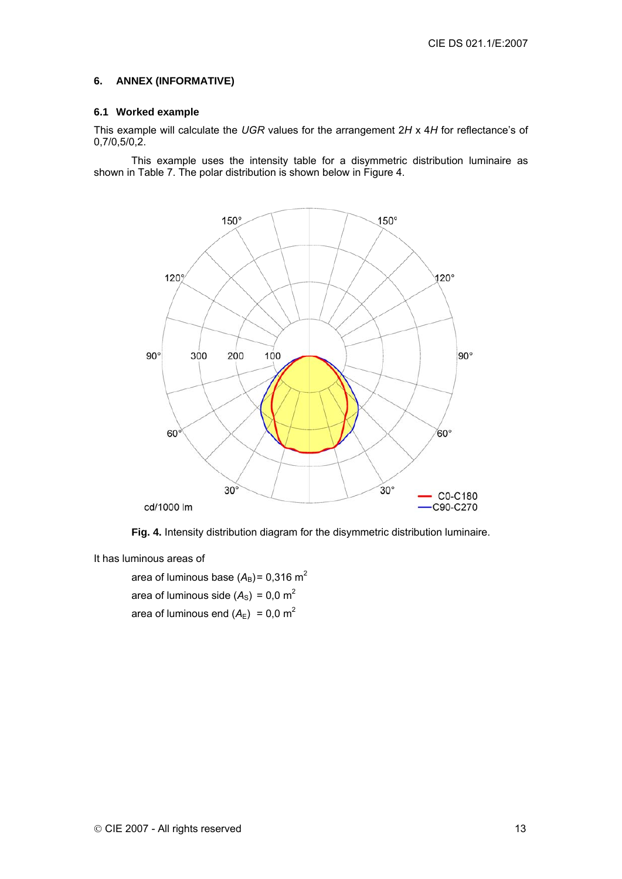#### **6. ANNEX (INFORMATIVE)**

#### **6.1 Worked example**

This example will calculate the *UGR* values for the arrangement 2*H* x 4*H* for reflectance's of 0,7/0,5/0,2.

This example uses the intensity table for a disymmetric distribution luminaire as shown in Table 7. The polar distribution is shown below in Figure 4.



**Fig. 4.** Intensity distribution diagram for the disymmetric distribution luminaire.

It has luminous areas of

area of luminous base  $(A_B)$  = 0,316 m<sup>2</sup> area of luminous side  $(A<sub>S</sub>) = 0.0$  m<sup>2</sup> area of luminous end  $(A<sub>E</sub>) = 0.0$  m<sup>2</sup>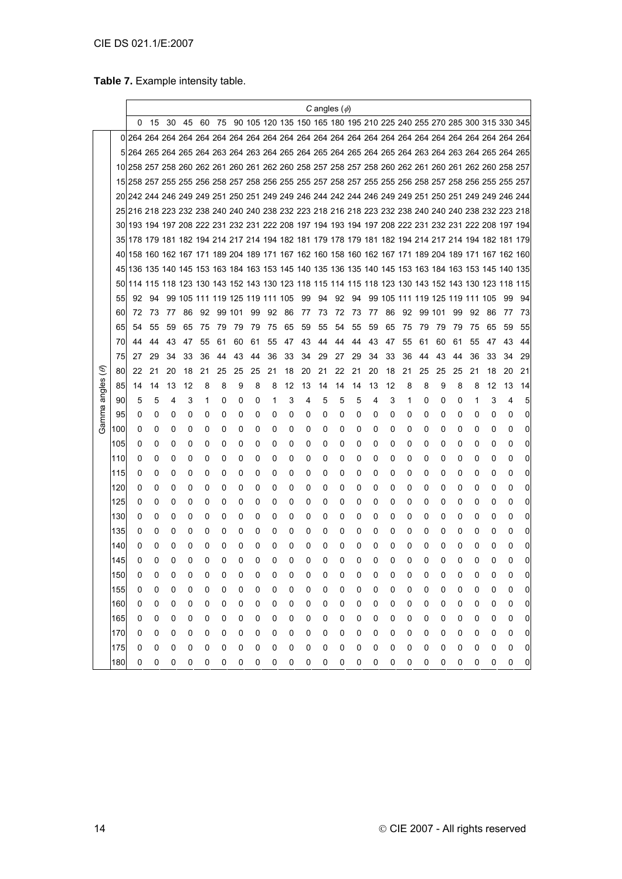## **Table 7.** Example intensity table.

|                |     |                                                                                                    |    |    |    |    |    |                                |    |    |    |    | C angles $(\phi)$ |    |    |    |    |    |    |        |                                |    |    |     |                                                                                         |
|----------------|-----|----------------------------------------------------------------------------------------------------|----|----|----|----|----|--------------------------------|----|----|----|----|-------------------|----|----|----|----|----|----|--------|--------------------------------|----|----|-----|-----------------------------------------------------------------------------------------|
|                |     |                                                                                                    |    |    |    |    |    |                                |    |    |    |    |                   |    |    |    |    |    |    |        |                                |    |    |     | 0 15 30 45 60 75 90 105 120 135 150 165 180 195 210 225 240 255 270 285 300 315 330 345 |
|                |     |                                                                                                    |    |    |    |    |    |                                |    |    |    |    |                   |    |    |    |    |    |    |        |                                |    |    |     |                                                                                         |
|                |     | 5 264 265 264 265 264 263 264 263 264 265 264 265 264 265 264 265 264 263 264 263 264 265 264 265  |    |    |    |    |    |                                |    |    |    |    |                   |    |    |    |    |    |    |        |                                |    |    |     |                                                                                         |
|                |     | 10 258 257 258 260 262 261 260 261 262 260 258 257 258 257 258 260 262 261 260 261 262 260 258 257 |    |    |    |    |    |                                |    |    |    |    |                   |    |    |    |    |    |    |        |                                |    |    |     |                                                                                         |
|                |     | 15 258 257 255 255 256 258 257 258 256 255 255 257 258 257 255 255 256 258 257 258 256 255 255 257 |    |    |    |    |    |                                |    |    |    |    |                   |    |    |    |    |    |    |        |                                |    |    |     |                                                                                         |
|                |     | 20 242 244 246 249 249 251 250 251 249 249 246 244 242 244 246 249 249 251 250 251 249 249 246 244 |    |    |    |    |    |                                |    |    |    |    |                   |    |    |    |    |    |    |        |                                |    |    |     |                                                                                         |
|                |     | 25 216 218 223 232 238 240 240 240 238 232 223 218 216 218 223 232 238 240 240 240 238 232 223 218 |    |    |    |    |    |                                |    |    |    |    |                   |    |    |    |    |    |    |        |                                |    |    |     |                                                                                         |
|                |     | 30 193 194 197 208 222 231 232 231 222 208 197 194 193 194 197 208 222 231 232 231 222 208 197 194 |    |    |    |    |    |                                |    |    |    |    |                   |    |    |    |    |    |    |        |                                |    |    |     |                                                                                         |
|                |     | 35 178 179 181 182 194 214 217 214 194 182 181 179 178 179 181 182 194 214 217 214 194 182 181 179 |    |    |    |    |    |                                |    |    |    |    |                   |    |    |    |    |    |    |        |                                |    |    |     |                                                                                         |
|                |     | 40 158 160 162 167 171 189 204 189 171 167 162 160 158 160 162 167 171 189 204 189 171 167 162 160 |    |    |    |    |    |                                |    |    |    |    |                   |    |    |    |    |    |    |        |                                |    |    |     |                                                                                         |
|                |     | 45 136 135 140 145 153 163 184 163 153 145 140 135 136 135 140 145 153 163 184 163 153 145 140 135 |    |    |    |    |    |                                |    |    |    |    |                   |    |    |    |    |    |    |        |                                |    |    |     |                                                                                         |
|                |     | 50 114 115 118 123 130 143 152 143 130 123 118 115 114 115 118 123 130 143 152 143 130 123 118 115 |    |    |    |    |    |                                |    |    |    |    |                   |    |    |    |    |    |    |        |                                |    |    |     |                                                                                         |
|                | 55  | 92                                                                                                 | 94 |    |    |    |    | 99 105 111 119 125 119 111 105 |    |    |    | 99 | 94                | 92 | 94 |    |    |    |    |        | 99 105 111 119 125 119 111 105 |    |    | -99 | 94                                                                                      |
|                | 60  | 72                                                                                                 | 73 | 77 | 86 | 92 |    | 99 101                         | 99 | 92 | 86 | 77 | 73                | 72 | 73 | 77 | 86 | 92 |    | 99 101 | 99                             | 92 | 86 | 77  | 73                                                                                      |
|                | 65  | 54                                                                                                 | 55 | 59 | 65 | 75 | 79 | 79                             | 79 | 75 | 65 | 59 | 55                | 54 | 55 | 59 | 65 | 75 | 79 | 79     | 79                             | 75 | 65 | 59  | 55                                                                                      |
|                | 70  | 44                                                                                                 | 44 | 43 | 47 | 55 | 61 | 60                             | 61 | 55 | 47 | 43 | 44                | 44 | 44 | 43 | 47 | 55 | 61 | 60     | 61                             | 55 | 47 | 43  | 44                                                                                      |
|                | 75  | 27                                                                                                 | 29 | 34 | 33 | 36 | 44 | 43                             | 44 | 36 | 33 | 34 | 29                | 27 | 29 | 34 | 33 | 36 | 44 | 43     | 44                             | 36 | 33 | 34  | 29                                                                                      |
| $\mathfrak{G}$ | 80  | 22                                                                                                 | 21 | 20 | 18 | 21 | 25 | 25                             | 25 | 21 | 18 | 20 | 21                | 22 | 21 | 20 | 18 | 21 | 25 | 25     | 25                             | 21 | 18 | 20  | 21                                                                                      |
| angles         | 85  | 14                                                                                                 | 14 | 13 | 12 | 8  | 8  | 9                              | 8  | 8  | 12 | 13 | 14                | 14 | 14 | 13 | 12 | 8  | 8  | 9      | 8                              | 8  | 12 | 13  | 14                                                                                      |
|                | 90  | 5                                                                                                  | 5  | 4  | 3  | 1  | 0  | 0                              | 0  | 1  | 3  | 4  | 5                 | 5  | 5  | 4  | 3  | 1  | 0  | 0      | 0                              | 1  | 3  | 4   | 5                                                                                       |
| Gamma          | 95  | 0                                                                                                  | 0  | 0  | 0  | 0  | 0  | 0                              | 0  | 0  | 0  | 0  | 0                 | 0  | 0  | 0  | 0  | 0  | 0  | 0      | 0                              | 0  | 0  | 0   | 0                                                                                       |
|                | 100 | 0                                                                                                  | 0  | 0  | 0  | 0  | 0  | 0                              | 0  | 0  | 0  | 0  | 0                 | 0  | 0  | 0  | 0  | 0  | 0  | 0      | 0                              | 0  | 0  | 0   | 0                                                                                       |
|                | 105 | 0                                                                                                  | 0  | 0  | 0  | 0  | 0  | 0                              | 0  | 0  | 0  | 0  | 0                 | 0  | 0  | 0  | 0  | 0  | 0  | 0      | 0                              | 0  | 0  | 0   | 0                                                                                       |
|                | 110 | 0                                                                                                  | 0  | 0  | 0  | 0  | 0  | 0                              | 0  | 0  | 0  | 0  | 0                 | 0  | 0  | 0  | 0  | 0  | 0  | 0      | 0                              | 0  | 0  | 0   | 0                                                                                       |
|                | 115 | 0                                                                                                  | 0  | 0  | 0  | 0  | 0  | 0                              | 0  | 0  | 0  | 0  | 0                 | 0  | 0  | 0  | 0  | 0  | 0  | 0      | 0                              | 0  | 0  | 0   | 0                                                                                       |
|                | 120 | 0                                                                                                  | 0  | 0  | 0  | 0  | 0  | 0                              | 0  | 0  | 0  | 0  | 0                 | 0  | 0  | 0  | 0  | 0  | 0  | 0      | 0                              | 0  | 0  | 0   | 0                                                                                       |
|                | 125 | 0                                                                                                  | 0  | 0  | 0  | 0  | 0  | 0                              | 0  | 0  | 0  | 0  | 0                 | 0  | 0  | 0  | 0  | 0  | 0  | 0      | 0                              | 0  | 0  | 0   | 0                                                                                       |
|                | 130 | 0                                                                                                  | 0  | 0  | 0  | 0  | 0  | 0                              | 0  | 0  | 0  | 0  | 0                 | 0  | 0  | 0  | 0  | 0  | 0  | 0      | 0                              | 0  | 0  | 0   | 0                                                                                       |
|                | 135 | 0                                                                                                  | 0  | 0  | 0  | 0  | 0  | 0                              | 0  | 0  | 0  | 0  | 0                 | 0  | 0  | 0  | 0  | 0  | 0  | 0      | 0                              | 0  | 0  | 0   | 0                                                                                       |
|                | 140 | 0                                                                                                  | 0  | 0  | 0  | 0  | 0  | 0                              | 0  | 0  | 0  | 0  | 0                 | 0  | 0  | 0  | 0  | 0  | 0  | 0      | 0                              | 0  | 0  | 0   | 0                                                                                       |
|                | 145 | 0                                                                                                  | 0  | 0  | 0  | 0  | 0  | 0                              | 0  | 0  | 0  | 0  | 0                 | 0  | 0  | 0  | 0  | 0  | 0  | 0      | 0                              | 0  | 0  | 0   | 0                                                                                       |
|                | 150 | 0                                                                                                  | 0  | 0  | 0  | 0  | 0  | 0                              | 0  | 0  | 0  | 0  | 0                 | 0  | 0  | 0  | 0  | 0  | 0  | 0      | 0                              | 0  | 0  | 0   | 0                                                                                       |
|                | 155 | 0                                                                                                  | 0  | 0  | 0  | 0  | 0  | 0                              | 0  | 0  | 0  | 0  | 0                 | 0  | 0  | 0  | 0  | 0  | 0  | 0      | 0                              | 0  | 0  | 0   | 0                                                                                       |
|                | 160 | 0                                                                                                  | 0  | 0  | 0  | 0  | 0  | 0                              | 0  | 0  | 0  | 0  | 0                 | 0  | 0  | 0  | 0  | 0  | 0  | 0      | 0                              | 0  | 0  | 0   | 0                                                                                       |
|                | 165 | 0                                                                                                  | 0  | 0  | 0  | 0  | 0  | 0                              | 0  | 0  | 0  | 0  | 0                 | 0  | 0  | 0  | 0  | 0  | 0  | 0      | 0                              | 0  | 0  | 0   | 0                                                                                       |
|                | 170 | 0                                                                                                  | 0  | 0  | 0  | 0  | 0  | 0                              | 0  | 0  | 0  | 0  | 0                 | 0  | 0  | 0  | 0  | 0  | 0  | 0      | 0                              | 0  | 0  | 0   | 0                                                                                       |
|                | 175 | 0                                                                                                  | 0  | 0  | 0  | 0  | 0  | 0                              | 0  | 0  | 0  | 0  | 0                 | 0  | 0  | 0  | 0  | 0  | 0  | 0      | $\mathbf 0$                    | 0  | 0  | 0   | 0                                                                                       |
|                | 180 | 0                                                                                                  | 0  | 0  | 0  | 0  | 0  | 0                              | 0  | 0  | 0  | 0  | 0                 | 0  | 0  | 0  | 0  | 0  | 0  | 0      | 0                              | 0  | 0  | 0   | $\mathbf 0$                                                                             |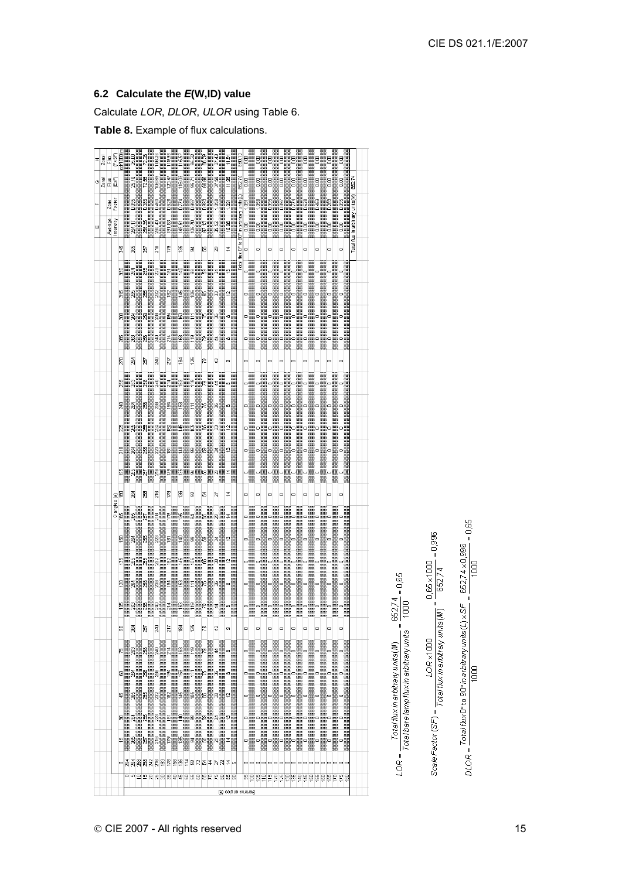### **6.2 Calculate the** *E***(W,ID) value**

Calculate *LOR*, *DLOR*, *ULOR* using Table 6.

**Table 8.** Example of flux calculations.

|   |  | Zanal<br>Flux<br>(FxSF) |     |                                                                                  |         |     |     |                  |                      |     |    |                |    |                             |                                                      |                   |                                        |                          |               |                      |                       |                  |         |         |                          |                   |  |
|---|--|-------------------------|-----|----------------------------------------------------------------------------------|---------|-----|-----|------------------|----------------------|-----|----|----------------|----|-----------------------------|------------------------------------------------------|-------------------|----------------------------------------|--------------------------|---------------|----------------------|-----------------------|------------------|---------|---------|--------------------------|-------------------|--|
|   |  | 이를 빛인                   |     | <b>ANDREW SEE</b>                                                                |         |     |     |                  |                      |     |    |                |    |                             |                                                      |                   | <b>1</b> 18 18 18 18 18 18 18 18 18 18 |                          |               |                      |                       |                  |         |         |                          |                   |  |
|   |  |                         |     |                                                                                  |         |     |     |                  |                      |     |    |                |    |                             |                                                      |                   |                                        |                          |               |                      |                       |                  |         |         |                          | ß                 |  |
|   |  | $\frac{Zane}{Fartor}$   |     |                                                                                  |         |     |     |                  |                      |     |    |                |    |                             |                                                      |                   | FE SISTE E SI SI SI                    |                          |               |                      |                       |                  |         |         |                          | units(M           |  |
| ш |  | Average<br>Intensity    |     |                                                                                  |         |     |     |                  |                      |     |    |                |    | in arbitrary                |                                                      |                   | enen en en en en en en e               |                          |               |                      |                       |                  |         |         |                          | flux in arbitrary |  |
|   |  |                         | 345 |                                                                                  | $265\,$ | 257 | 218 | $\overline{179}$ | $\frac{8}{25}$       | 볾   | Ю  | $\mathbb R$    | Ħ, | Ė<br>flux D <sup>o</sup> to |                                                      |                   | $\Box$                                 | $\overline{\phantom{a}}$ | Þ             | $\circ$              | $\qquad \qquad \circ$ |                  | $\circ$ | $\circ$ |                          | Tatal             |  |
|   |  |                         |     | e a a a a a a a a                                                                |         |     |     |                  |                      |     |    |                |    | Total                       |                                                      |                   | <b>.</b>                               |                          |               |                      | I.                    |                  |         |         |                          |                   |  |
|   |  |                         |     |                                                                                  |         |     |     |                  |                      |     |    |                |    |                             |                                                      |                   |                                        |                          |               |                      |                       |                  |         |         |                          |                   |  |
|   |  |                         |     | ° XIXIXIBITA BI XIXI                                                             |         |     |     |                  |                      |     |    |                |    |                             |                                                      |                   | ▏▘▓▝▊▘▓▘█▘▓▘▓▘▓▘▓▘                     |                          |               |                      |                       |                  |         |         | ≕                        |                   |  |
|   |  |                         |     | 8∐a∏a∏a∏a∏9∏e∏e∏a∏∞∏                                                             |         |     |     |                  |                      |     |    |                |    |                             |                                                      |                   |                                        |                          |               |                      |                       |                  |         |         |                          |                   |  |
|   |  |                         |     | <sub>ਖ਼</sub> ▒ <sub>ੵਖ਼</sub> ▒ <sub>ਖ਼</sub> ▒ <sub>ਖ਼</sub> ▒ <sub>ਖ਼</sub> ▒ |         |     |     |                  |                      |     |    |                |    |                             |                                                      |                   | ◦▓◦▓◦▓◦▓◦▓◦▓◦▓◦▓                       |                          |               |                      |                       |                  |         |         |                          |                   |  |
|   |  |                         |     |                                                                                  |         |     |     |                  |                      |     |    |                |    |                             |                                                      |                   |                                        |                          |               |                      |                       |                  |         |         |                          |                   |  |
|   |  |                         | R   |                                                                                  | Ř       | Ŕ   | R   | $\frac{27}{2}$   | 효                    | 图   | ొ  | い              | o, |                             | $\circ$                                              |                   | $\Box$                                 | $\Box$                   | $\hfill \Box$ | $\circ$              | $\circ$               |                  | $\circ$ | $\circ$ | $\circ$                  |                   |  |
|   |  |                         | 뻃   |                                                                                  |         |     |     |                  | <b>RASE ELECTRAL</b> |     |    |                |    |                             |                                                      |                   | ◦▓◦▓◦▓◦▓◦▓◦▓◦▓◦▓◦▓                     |                          |               |                      |                       |                  |         |         |                          |                   |  |
|   |  |                         |     | a a ala sie e risi -l                                                            |         |     |     |                  |                      |     |    |                |    |                             |                                                      |                   |                                        |                          |               |                      |                       | ▊▖▊▖▊▖▊▖▊▖▊▖▊▖▊▖ |         |         |                          |                   |  |
|   |  |                         |     | RERERERE≇E≇ESEREPE                                                               |         |     |     |                  |                      |     |    |                |    |                             |                                                      |                   | <b>◦▓◦▓◦▓◦▓◦▓◦▓◦▓</b> ◦▓◦              |                          |               |                      |                       |                  |         |         |                          |                   |  |
|   |  |                         |     |                                                                                  |         |     |     |                  |                      |     |    |                |    |                             |                                                      |                   |                                        |                          |               |                      |                       |                  |         |         |                          |                   |  |
|   |  |                         |     | REA MERES BER A PI                                                               |         |     |     |                  |                      |     |    |                |    |                             |                                                      | ∘▓≡∘              |                                        |                          |               |                      |                       | ・■・■・■・■・■・■・■   |         |         |                          |                   |  |
|   |  |                         |     | <b>BERERESESES</b> 8 8 2                                                         |         |     |     |                  |                      |     |    |                |    |                             |                                                      |                   |                                        |                          |               |                      |                       |                  |         |         |                          |                   |  |
|   |  |                         | 3회  | Ř                                                                                |         | ξ   | 216 | 陧                | ෂී                   | 95  | 蒿  | 27             | Ξ  |                             | $\overline{\phantom{0}}$                             |                   | $\circ$                                | o                        | D             | $\circ$              | $\circ$               |                  | o       | $\circ$ | o                        |                   |  |
|   |  |                         |     |                                                                                  |         |     |     |                  |                      |     |    |                |    |                             |                                                      |                   |                                        |                          |               |                      |                       |                  |         |         |                          |                   |  |
|   |  |                         |     |                                                                                  |         |     |     |                  |                      |     |    |                |    |                             |                                                      |                   | <b>⊝⊞⊝</b> ⊞≏⊞≏≣                       |                          |               |                      |                       |                  |         |         |                          |                   |  |
|   |  |                         |     | <b>DEALWERFELS &amp; SEALER</b>                                                  |         |     |     |                  |                      |     |    |                |    |                             |                                                      |                   |                                        |                          |               |                      |                       | █⋴█⋴█⋴█⋴█⋴█⋴█⋴   |         |         |                          |                   |  |
|   |  |                         |     | B R XIRI B Y B B R P P                                                           |         |     |     |                  |                      |     |    |                |    |                             |                                                      |                   |                                        |                          |               |                      |                       | ■□墨□■□墨□墨□墨□     |         | ≕       |                          |                   |  |
|   |  |                         |     |                                                                                  |         |     |     |                  |                      |     |    |                |    |                             |                                                      |                   |                                        |                          |               |                      |                       |                  |         |         |                          |                   |  |
|   |  |                         |     | 8 <mark>kahahahahah</mark> 9hehahahah                                            |         |     |     |                  |                      |     |    |                |    |                             |                                                      |                   |                                        |                          |               |                      |                       |                  |         |         |                          |                   |  |
|   |  |                         |     | 9 8 8 8 3 4 9 2 c 1 -                                                            |         |     |     |                  |                      |     |    |                |    |                             |                                                      |                   | -M-M-M-M-M-M-M-                        |                          |               |                      |                       |                  |         |         |                          |                   |  |
|   |  |                         | 의   | 惡                                                                                |         | 257 | 240 | 217              | 画                    | 125 | £9 | $\mathbb{G}^2$ | m  |                             | $\hskip10pt\hskip10pt\hskip10pt\hskip10pt\hskip10pt$ |                   | $\Box$                                 | $\Box$                   | $\Box$        | $\qquad \qquad \Box$ | $\Box$                |                  | $\Box$  | $\Box$  | $\overline{\phantom{0}}$ |                   |  |
|   |  |                         |     | ĸ▊⋦▊⋦▊⋦▊⋵▊╩▊⋸▊ <sup>ĸ</sup> ▊⋾▋⋴▌                                                |         |     |     |                  |                      |     |    |                |    |                             |                                                      |                   |                                        |                          |               |                      |                       |                  |         |         |                          |                   |  |
|   |  |                         |     |                                                                                  |         |     |     |                  |                      |     |    |                |    |                             |                                                      |                   |                                        |                          |               |                      |                       |                  |         |         |                          |                   |  |
|   |  |                         |     | a a a a sia a e a a                                                              |         |     |     |                  |                      |     |    |                |    |                             |                                                      |                   |                                        |                          |               |                      |                       |                  |         |         |                          |                   |  |
|   |  |                         |     | v g g g g b g g a g d                                                            |         |     |     |                  |                      |     |    |                |    |                             |                                                      |                   | ╺█ <b>╺█</b> ╺█╺█╺█╺█╺█╺█╺             |                          |               |                      |                       |                  |         |         |                          |                   |  |
|   |  |                         |     |                                                                                  |         |     |     |                  |                      |     |    |                |    |                             |                                                      |                   |                                        |                          |               |                      |                       |                  |         |         |                          |                   |  |
|   |  |                         |     | R 전 제 제 제 모 모 8 8 8 8 8 2                                                        |         |     |     |                  |                      |     |    |                |    |                             |                                                      |                   | ╺ <mark>┋</mark> ╺┠╺┠╺┠╺┠╺┠╺┠          |                          |               |                      |                       |                  |         |         |                          |                   |  |
|   |  |                         |     | =  R  R  E  B  3  8  R  =                                                        |         |     |     |                  |                      |     |    |                |    |                             |                                                      |                   | <b>▏▘▊▘▊▘▊▘▊▘▊▘▊▘▊▘▊</b>               |                          |               |                      |                       |                  |         |         |                          |                   |  |
|   |  |                         |     | 미종萬閑将몽음을은을을들랑다요ㅋ님의 ㅎㅎ                                                            |         |     |     |                  |                      |     |    |                |    |                             |                                                      |                   |                                        |                          |               |                      |                       |                  |         |         |                          |                   |  |
|   |  |                         |     |                                                                                  |         |     |     |                  |                      |     |    |                |    |                             |                                                      |                   | # 효효등등 효효 활동 표 효 효 효 효 효 효 효           |                          |               |                      |                       |                  |         |         |                          |                   |  |
|   |  |                         |     |                                                                                  |         |     |     |                  |                      |     |    |                |    |                             |                                                      | (8) eelgns smmsel |                                        |                          |               |                      |                       |                  |         |         |                          |                   |  |



652,74×0,996 ∣§  $DLOR = \frac{Total flux O^{\alpha} to \ 90^{\circ} in a tabd^{\alpha}ary\, units(L) \times SF}{4000}.$ e

 $= 0,85$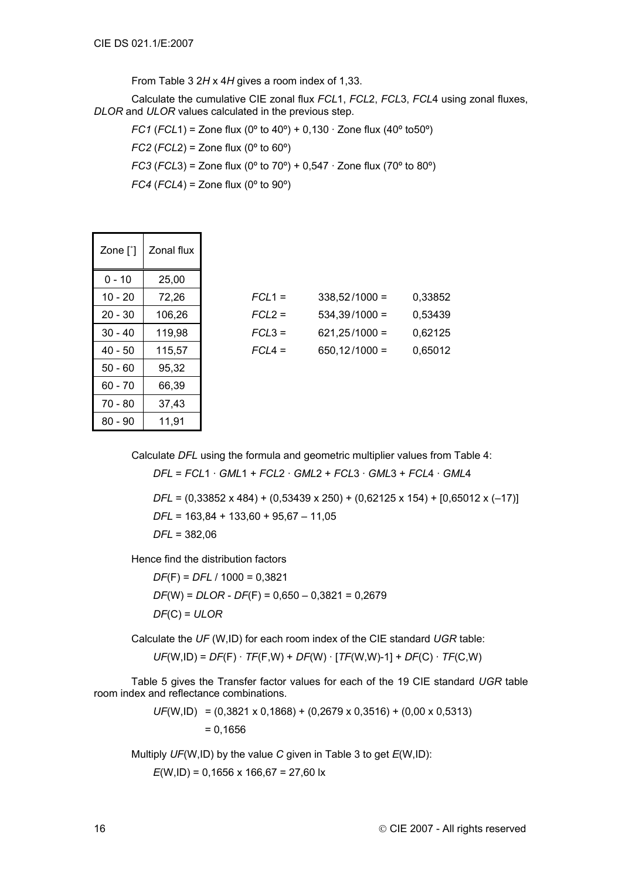From Table 3 2*H* x 4*H* gives a room index of 1,33.

Calculate the cumulative CIE zonal flux *FCL*1, *FCL*2, *FCL*3, *FCL*4 using zonal fluxes, *DLOR* and *ULOR* values calculated in the previous step.

*FC1* (*FCL*1) = Zone flux (0º to 40º) + 0,130 · Zone flux (40º to50º)

*FC2* (*FCL*2) = Zone flux (0º to 60º)

*FC3* (*FCL3*) = Zone flux (0 $^{\circ}$  to 70 $^{\circ}$ ) + 0,547  $\cdot$  Zone flux (70 $^{\circ}$  to 80 $^{\circ}$ )

*FC4* (*FCL*4) = Zone flux (0º to 90º)

| Zone [°]  | Zonal flux |  |
|-----------|------------|--|
| 0 - 10    | 25,00      |  |
| 10 - 20   | 72,26      |  |
| $20 - 30$ | 106,26     |  |
| $30 - 40$ | 119.98     |  |
| 40 - 50   | 115,57     |  |
| 50 - 60   | 95,32      |  |
| $60 - 70$ | 66.39      |  |
| 70 - 80   | 37,43      |  |
| 80 - 90   | 11.91      |  |

| $0 - 10$ | 25,00  |          |                  |         |
|----------|--------|----------|------------------|---------|
| 10 - 20  | 72,26  | $FCL1 =$ | $338,52/1000 =$  | 0,33852 |
| 20 - 30  | 106,26 | $FCL2 =$ | $534,39/1000 =$  | 0,53439 |
| 30 - 40  | 119,98 | $FCL3 =$ | $621,25/1000 =$  | 0,62125 |
| 40 - 50  | 115,57 | $FCL4 =$ | $650, 12/1000 =$ | 0,65012 |

Calculate *DFL* using the formula and geometric multiplier values from Table 4:

*DFL* = *FCL*1 · *GML*1 + *FCL*2 · *GML*2 + *FCL*3 · *GML*3 + *FCL*4 · *GML*4

*DFL* = (0,33852 x 484) + (0,53439 x 250) + (0,62125 x 154) + [0,65012 x (–17)] *DFL* = 163,84 + 133,60 + 95,67 – 11,05 *DFL* = 382,06

Hence find the distribution factors

*DF*(F) = *DFL* / 1000 = 0,3821 *DF*(W) = *DLOR* - *DF*(F) = 0,650 – 0,3821 = 0,2679 *DF*(C) = *ULOR*

Calculate the *UF* (W,ID) for each room index of the CIE standard *UGR* table:

 $UF(W, ID) = DF(F) \cdot TF(F, W) + DF(W) \cdot [TF(W, W) - 1] + DF(C) \cdot TF(C, W)$ 

Table 5 gives the Transfer factor values for each of the 19 CIE standard *UGR* table room index and reflectance combinations.

> *UF*(W,ID) = (0,3821 x 0,1868) + (0,2679 x 0,3516) + (0,00 x 0,5313)  $= 0.1656$

Multiply *UF*(W,ID) by the value *C* given in Table 3 to get *E*(W,ID):

*E*(W,ID) = 0,1656 x 166,67 = 27,60 lx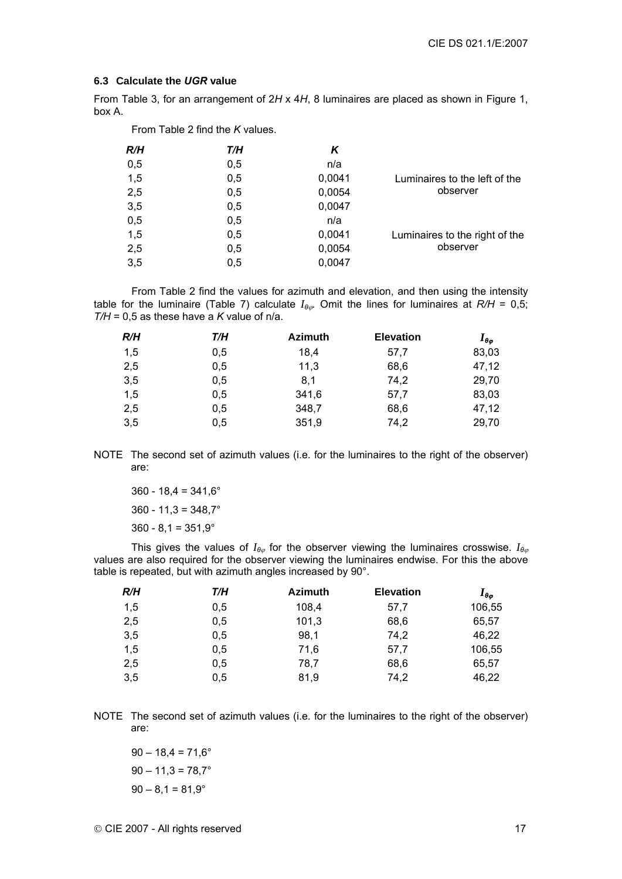#### **6.3 Calculate the** *UGR* **value**

From Table 3, for an arrangement of 2*H* x 4*H*, 8 luminaires are placed as shown in Figure 1, box A.

From Table 2 find the *K* values.

| <b>R/H</b> | T/H | Κ      |                                |
|------------|-----|--------|--------------------------------|
| 0,5        | 0.5 | n/a    |                                |
| 1,5        | 0,5 | 0,0041 | Luminaires to the left of the  |
| 2,5        | 0,5 | 0,0054 | observer                       |
| 3,5        | 0,5 | 0,0047 |                                |
| 0,5        | 0,5 | n/a    |                                |
| 1,5        | 0,5 | 0,0041 | Luminaires to the right of the |
| 2,5        | 0,5 | 0,0054 | observer                       |
| 3,5        | 0,5 | 0,0047 |                                |

From Table 2 find the values for azimuth and elevation, and then using the intensity table for the luminaire (Table 7) calculate  $I_{\theta\omega}$ . Omit the lines for luminaires at  $R/H = 0.5$ ;  $T/H = 0.5$  as these have a *K* value of n/a.

| R/H | T/H | <b>Azimuth</b> | <b>Elevation</b> | $I_{\theta\varrho}$ |
|-----|-----|----------------|------------------|---------------------|
| 1,5 | 0,5 | 18,4           | 57,7             | 83,03               |
| 2,5 | 0,5 | 11,3           | 68,6             | 47,12               |
| 3,5 | 0,5 | 8,1            | 74,2             | 29,70               |
| 1,5 | 0,5 | 341,6          | 57,7             | 83,03               |
| 2,5 | 0,5 | 348,7          | 68,6             | 47,12               |
| 3,5 | 0,5 | 351,9          | 74,2             | 29,70               |

NOTE The second set of azimuth values (i.e. for the luminaires to the right of the observer) are:

360 - 18,4 = 341,6 $^{\circ}$  $360 - 11.3 = 348.7^\circ$  $360 - 8.1 = 351.9^\circ$ 

This gives the values of  $I_{\theta\varnothing}$  for the observer viewing the luminaires crosswise.  $I_{\theta\varnothing}$ values are also required for the observer viewing the luminaires endwise. For this the above table is repeated, but with azimuth angles increased by 90°.

| R/H | T/H | <b>Azimuth</b> | <b>Elevation</b> | $I_{\theta\varrho}$ |
|-----|-----|----------------|------------------|---------------------|
| 1,5 | 0,5 | 108,4          | 57,7             | 106,55              |
| 2,5 | 0,5 | 101,3          | 68,6             | 65,57               |
| 3,5 | 0,5 | 98,1           | 74,2             | 46,22               |
| 1,5 | 0,5 | 71,6           | 57,7             | 106,55              |
| 2,5 | 0,5 | 78.7           | 68,6             | 65,57               |
| 3,5 | 0,5 | 81,9           | 74,2             | 46,22               |

NOTE The second set of azimuth values (i.e. for the luminaires to the right of the observer) are:

 $90 - 18.4 = 71.6^{\circ}$  $90 - 11,3 = 78,7^{\circ}$  $90 - 8,1 = 81.9^{\circ}$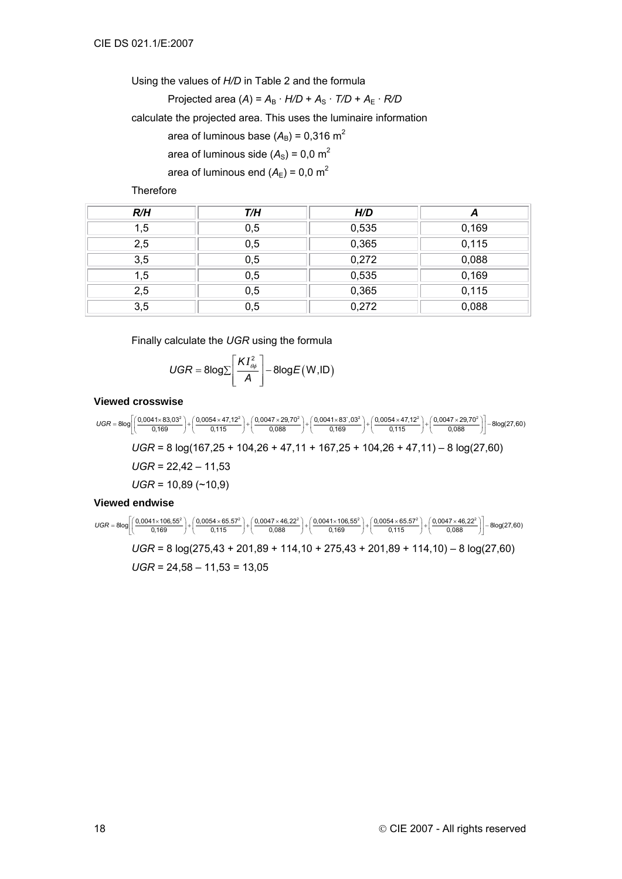Using the values of *H/D* in Table 2 and the formula

Projected area  $(A) = A_B \cdot H/D + A_S \cdot T/D + A_E \cdot R/D$ 

calculate the projected area. This uses the luminaire information

area of luminous base  $(A_B)$  = 0,316 m<sup>2</sup>

area of luminous side  $(A<sub>S</sub>) = 0.0$  m<sup>2</sup>

area of luminous end  $(A<sub>E</sub>)$  = 0,0 m<sup>2</sup>

**Therefore** 

| R/H | T/H | H/D   | ∼     |
|-----|-----|-------|-------|
| 1,5 | 0,5 | 0,535 | 0,169 |
| 2,5 | 0,5 | 0,365 | 0,115 |
| 3,5 | 0,5 | 0,272 | 0,088 |
| 1,5 | 0,5 | 0,535 | 0,169 |
| 2,5 | 0,5 | 0,365 | 0,115 |
| 3,5 | 0,5 | 0,272 | 0,088 |

Finally calculate the *UGR* using the formula

$$
UGR = 8\log \sum \left[\frac{KI_{\theta\phi}^2}{A}\right] - 8\log E\left(W, \text{ID}\right)
$$

#### **Viewed crosswise**

$$
UGR = 8\log\left[\frac{0.0041 \times 83.03^2}{0.169}\right] + \left(\frac{0.0054 \times 47.12^2}{0.115}\right) + \left(\frac{0.0047 \times 29.70^2}{0.088}\right) + \left(\frac{0.0041 \times 83.03^2}{0.169}\right) + \left(\frac{0.0054 \times 47.12^2}{0.115}\right) + \left(\frac{0.0047 \times 29.70^2}{0.088}\right)\left[\frac{0.0047 \times 29.70^2}{0.088}\right] - 8\log(27.60)
$$
  
\n
$$
UGR = 8\log(167.25 + 104.26 + 47.11 + 167.25 + 104.26 + 47.11) - 8\log(27.60)
$$
  
\n
$$
UGR = 22.42 - 11.53
$$
  
\n
$$
UGR = 10.89 \ (\sim 10.9)
$$

#### **Viewed endwise**

 $\textit{UGR} = 8\textit{log}\Bigg[\Big(\frac{0.0041\times106,55^2}{0.169}\Bigg) + \Big(\frac{0.0054\times65.57^2}{0.115}\Bigg) + \Big(\frac{0.0047\times46,22^2}{0.088}\Bigg) + \Big(\frac{0.0041\times106,55^2}{0.169}\Bigg) + \Big(\frac{0.0054\times65.57^2}{0.115}\Bigg) + \Big(\frac{0.0047\times46,22^2}{0.088}\Bigg)\Bigg] - 8\textit{log}(27,$ *UGR* = 8 log(275,43 + 201,89 + 114,10 + 275,43 + 201,89 + 114,10) – 8 log(27,60) *UGR* = 24,58 – 11,53 = 13,05